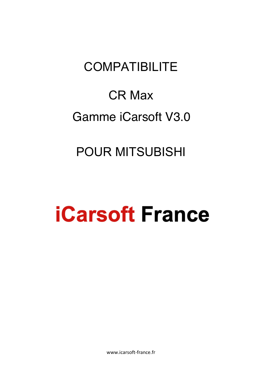# **COMPATIBILITE**

# CR Max Gamme iCarsoft V3.0

## POUR MITSUBISHI

# **iCarsoft France**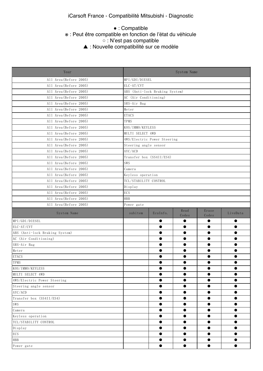● : Compatible

### ● This function is supported. ※ : Peut être compatible en fonction de l'état du véhicule

○ : N'est pas compatible

▲ : Nouvelle compatibilité sur ce modèle.

| Year                           |                       |                                                  | System Name   |                |           |  |  |  |  |  |
|--------------------------------|-----------------------|--------------------------------------------------|---------------|----------------|-----------|--|--|--|--|--|
| All Area (Before 2005)         | MPI/GDI/DIESEL        |                                                  |               |                |           |  |  |  |  |  |
| All Area (Before 2005)         | ELC-AT/CVT            |                                                  |               |                |           |  |  |  |  |  |
| All Area (Before 2005)         |                       | ABS (Anti-lock Braking System)                   |               |                |           |  |  |  |  |  |
| All Area (Before 2005)         | AC (Air Conditioning) |                                                  |               |                |           |  |  |  |  |  |
| All Area (Before 2005)         | SRS-Air Bag           |                                                  |               |                |           |  |  |  |  |  |
| All Area (Before 2005)         | Meter                 |                                                  |               |                |           |  |  |  |  |  |
| All Area (Before 2005)         | <b>ETACS</b>          |                                                  |               |                |           |  |  |  |  |  |
| All Area (Before 2005)         | TPMS                  |                                                  |               |                |           |  |  |  |  |  |
| All Area (Before 2005)         | KOS/IMMO/KEYLESS      |                                                  |               |                |           |  |  |  |  |  |
| All Area (Before 2005)         | MULTI SELECT 4WD      |                                                  |               |                |           |  |  |  |  |  |
| All Area (Before 2005)         |                       | 4WS/Electric Power Steering                      |               |                |           |  |  |  |  |  |
| All Area (Before 2005)         | Steering angle sensor |                                                  |               |                |           |  |  |  |  |  |
| All Area (Before 2005)         | AYC/ACD               |                                                  |               |                |           |  |  |  |  |  |
| All Area (Before 2005)         |                       | Transfer box (SS4II/ES4)                         |               |                |           |  |  |  |  |  |
| All Area (Before 2005)         | SWS                   |                                                  |               |                |           |  |  |  |  |  |
| All Area (Before 2005)         | Camera                |                                                  |               |                |           |  |  |  |  |  |
| All Area (Before 2005)         | Keyless operation     |                                                  |               |                |           |  |  |  |  |  |
| All Area (Before 2005)         | TCL/STABILITY CONTROL |                                                  |               |                |           |  |  |  |  |  |
| All Area (Before 2005)         | Display               |                                                  |               |                |           |  |  |  |  |  |
| All Area (Before 2005)         | ECS                   |                                                  |               |                |           |  |  |  |  |  |
| All Area (Before 2005)         | <b>HBB</b>            |                                                  |               |                |           |  |  |  |  |  |
| All Area (Before 2005)         | Power gate            |                                                  |               |                |           |  |  |  |  |  |
| System Name                    | subitem               | EcuInfo.                                         | Read<br>Codes | Erase<br>Codes | LiveData  |  |  |  |  |  |
| MPI/GDI/DIESEL                 |                       | $\bullet$                                        | $\bullet$     | $\bullet$      | $\bullet$ |  |  |  |  |  |
| ELC-AT/CVT                     |                       | ●                                                | $\bullet$     | $\bullet$      | $\bullet$ |  |  |  |  |  |
| ABS (Anti-lock Braking System) |                       | $\bullet$                                        | $\bullet$     | $\bullet$      | $\bullet$ |  |  |  |  |  |
| AC (Air Conditioning)          |                       | $\bullet$                                        | $\bullet$     | $\bullet$      | $\bullet$ |  |  |  |  |  |
| SRS-Air Bag                    |                       | $\bullet$                                        | $\bullet$     | $\bullet$      | $\bullet$ |  |  |  |  |  |
| Meter                          |                       |                                                  |               |                | $\bullet$ |  |  |  |  |  |
| <b>ETACS</b>                   |                       |                                                  |               |                | $\bullet$ |  |  |  |  |  |
| TPMS                           |                       |                                                  |               |                | $\bullet$ |  |  |  |  |  |
| KOS/IMMO/KEYLESS               |                       | $\bullet$                                        | $\bullet$     |                |           |  |  |  |  |  |
| MULTI SELECT 4WD               |                       | $\bullet$                                        | $\bullet$     | $\bullet$      | $\bullet$ |  |  |  |  |  |
| 4WS/Electric Power Steering    |                       |                                                  |               | $\bullet$      | $\bullet$ |  |  |  |  |  |
| Steering angle sensor          |                       | $\bullet$                                        | $\bullet$     | $\bullet$      | $\bullet$ |  |  |  |  |  |
| AYC/ACD                        |                       | $\bullet$                                        | $\bullet$     | $\bullet$      | $\bullet$ |  |  |  |  |  |
| Transfer box (SS4II/ES4)       |                       | $\bullet$                                        | $\bullet$     | $\bullet$      | $\bullet$ |  |  |  |  |  |
| SWS                            |                       | $\bullet$                                        | $\bullet$     | $\bullet$      | $\bullet$ |  |  |  |  |  |
| Camera                         |                       | $\bullet$                                        | $\bullet$     | $\bullet$      | $\bullet$ |  |  |  |  |  |
| Keyless operation              |                       | $\bullet$                                        | $\bullet$     | $\bullet$      | $\bullet$ |  |  |  |  |  |
| TCL/STABILITY CONTROL          |                       | $\bullet$                                        | $\bullet$     | $\bullet$      | $\bullet$ |  |  |  |  |  |
| Display                        |                       |                                                  | $\bullet$     | $\bullet$      | $\bullet$ |  |  |  |  |  |
| ECS                            |                       | $\bullet$<br>$\bullet$<br>$\bullet$<br>$\bullet$ |               |                |           |  |  |  |  |  |
| <b>HBB</b>                     |                       | $\bullet$                                        | $\bullet$     | $\bullet$      | $\bullet$ |  |  |  |  |  |
| Power gate                     |                       | $\bullet$                                        | $\bullet$     | $\bullet$      | $\bullet$ |  |  |  |  |  |
|                                |                       |                                                  |               |                |           |  |  |  |  |  |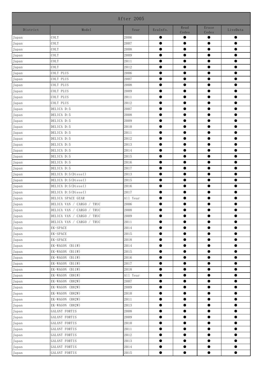|                |                               | After 2005 |           |               |                |           |
|----------------|-------------------------------|------------|-----------|---------------|----------------|-----------|
| District       | Model                         | Year       | EcuInfo.  | Read<br>Codes | Erase<br>Codes | LiveData  |
| Japan          | COLT                          | 2006       | $\bullet$ |               | $\bullet$      | $\bullet$ |
| $_{\rm Japan}$ | COLT                          | 2007       | $\bullet$ | $\bullet$     | $\bullet$      | $\bullet$ |
| Japan          | COLT                          | 2008       | $\bullet$ | $\bullet$     | $\bullet$      | $\bullet$ |
| Japan          | COLT                          | 2009       | $\bullet$ | $\bullet$     | $\bullet$      | $\bullet$ |
| Japan          | COLT                          | 2011       | $\bullet$ | $\bullet$     | $\bullet$      | $\bullet$ |
| $_{\rm Japan}$ | COLT                          | 2012       | $\bullet$ | $\bullet$     | $\bullet$      | $\bullet$ |
| Japan          | COLT PLUS                     | 2006       | $\bullet$ | $\bullet$     | $\bullet$      | $\bullet$ |
| Japan          | COLT PLUS                     | 2007       | $\bullet$ | $\bullet$     | $\bullet$      | $\bullet$ |
| Japan          | COLT PLUS                     | 2008       | $\bullet$ | $\bullet$     | $\bullet$      | $\bullet$ |
| Japan          | COLT PLUS                     | 2009       | $\bullet$ | $\bullet$     | $\bullet$      | $\bullet$ |
| Japan          | COLT PLUS                     | 2011       | $\bullet$ | $\bullet$     | $\bullet$      | $\bullet$ |
| Japan          | COLT PLUS                     | 2012       | $\bullet$ | $\bullet$     | $\bullet$      | $\bullet$ |
| Japan          | DELICA D:5                    | 2007       | $\bullet$ | $\bullet$     | $\bullet$      | $\bullet$ |
| $_{\rm Japan}$ | DELICA D:5                    | 2008       | $\bullet$ | $\bullet$     | $\bullet$      | $\bullet$ |
| Japan          | DELICA D:5                    | 2009       | $\bullet$ | $\bullet$     | $\bullet$      | $\bullet$ |
| Japan          | DELICA D:5                    | 2010       | $\bullet$ | $\bullet$     | $\bullet$      | $\bullet$ |
| Japan          | DELICA D:5                    | 2011       | $\bullet$ | $\bullet$     | $\bullet$      | $\bullet$ |
| Japan          | DELICA D:5                    | 2012       | $\bullet$ | $\bullet$     | $\bullet$      | $\bullet$ |
| $_{\rm Japan}$ | DELICA D:5                    | 2013       | $\bullet$ | $\bullet$     | $\bullet$      | $\bullet$ |
| Japan          | DELICA D:5                    | 2014       | $\bullet$ | $\bullet$     | $\bullet$      | $\bullet$ |
| Japan          | DELICA D:5                    | 2015       | $\bullet$ | $\bullet$     | $\bullet$      | $\bullet$ |
| $_{\rm Japan}$ | DELICA D:5                    | 2016       | $\bullet$ | $\bullet$     | $\bullet$      | $\bullet$ |
| Japan          | DELICA D:5                    | 2017       | $\bullet$ | $\bullet$     | $\bullet$      | $\bullet$ |
| Japan          | DELICA D:5(Diesel)            | 2013       | $\bullet$ | $\bullet$     | $\bullet$      | $\bullet$ |
| Japan          | DELICA D:5(Diesel)            | 2015       | $\bullet$ | $\bullet$     | $\bullet$      | $\bullet$ |
| $_{\rm Japan}$ | DELICA D:5(Diesel)            | 2016       | $\bullet$ | $\bullet$     | $\bullet$      | $\bullet$ |
| Japan          | DELICA D:5(Diesel)            | 2017       | $\bullet$ | $\bullet$     | $\bullet$      | $\bullet$ |
| Japan          | DELICA SPACE GEAR             | All Year   | $\bullet$ | $\bullet$     | $\bullet$      | $\bullet$ |
| Japan          | DELICA VAN / CARGO<br>/ TRUC  | 2006       | $\bullet$ | $\bullet$     | $\bullet$      | $\bullet$ |
| Japan          | DELICA VAN / CARGO / TRUC     | 2008       | $\bullet$ | $\bullet$     | $\bullet$      |           |
| $_{\rm Japan}$ | DELICA VAN /<br>CARGO<br>TRUC | 2009       | $\bullet$ | $\bullet$     | $\bullet$      | $\bullet$ |
| Japan          | DELICA VAN / CARGO / TRUC     | 2011       | $\bullet$ | $\bullet$     | $\bullet$      | $\bullet$ |
| Japan          | EK-SPACE                      | 2014       | $\bullet$ | $\bullet$     | $\bullet$      | $\bullet$ |
| $_{\rm Japan}$ | EK-SPACE                      | $2015\,$   | $\bullet$ | $\bullet$     | $\bullet$      | $\bullet$ |
| $_{\rm Japan}$ | EK-SPACE                      | 2018       | $\bullet$ | $\bullet$     | $\bullet$      | $\bullet$ |
| $_{\rm Japan}$ | EK-WAGON (B11W)               | 2014       | $\bullet$ | $\bullet$     | $\bullet$      | $\bullet$ |
| Japan          | EK-WAGON (B11W)               | 2015       | $\bullet$ | $\bullet$     | $\bullet$      | $\bullet$ |
| $_{\rm Japan}$ | EK-WAGON (B11W)               | 2016       | $\bullet$ | $\bullet$     | $\bullet$      | $\bullet$ |
| Japan          | EK-WAGON (B11W)               | 2017       | $\bullet$ | $\bullet$     | $\bullet$      | $\bullet$ |
| Japan          | EK-WAGON (B11W)               | 2018       | $\bullet$ | $\bullet$     | $\bullet$      | $\bullet$ |
| Japan          | EK-WAGON (H81W)               | All Year   | $\bullet$ | $\bullet$     | $\bullet$      | $\bullet$ |
| $_{\rm Japan}$ | EK-WAGON (H82W)               | 2007       | $\bullet$ | $\bullet$     | $\bullet$      | $\bullet$ |
| Japan          | EK-WAGON (H82W)               | 2009       | $\bullet$ | $\bullet$     | $\bullet$      | $\bullet$ |
| $_{\rm Japan}$ | EK-WAGON (H82W)               | 2010       | $\bullet$ | $\bullet$     | $\bullet$      | $\bullet$ |
| Japan          | EK-WAGON (H82W)               | 2011       | $\bullet$ | $\bullet$     | $\bullet$      | $\bullet$ |
| Japan          | EK-WAGON (H82W)               | 2013       | $\bullet$ | $\bullet$     | $\bullet$      | $\bullet$ |
| Japan          | GALANT FORTIS                 | 2008       | $\bullet$ | $\bullet$     | $\bullet$      | $\bullet$ |
| Japan          | GALANT FORTIS                 | 2009       | $\bullet$ | $\bullet$     | $\bullet$      | $\bullet$ |
| Japan          | GALANT FORTIS                 | 2010       | $\bullet$ | $\bullet$     | $\bullet$      | $\bullet$ |
| $_{\rm Japan}$ | GALANT FORTIS                 | 2011       | $\bullet$ | $\bullet$     | $\bullet$      | $\bullet$ |
| Japan          | GALANT FORTIS                 | 2012       | $\bullet$ | $\bullet$     | $\bullet$      | $\bullet$ |
| $_{\rm Japan}$ | GALANT FORTIS                 | 2013       | $\bullet$ | $\bullet$     | $\bullet$      | $\bullet$ |
| Japan          | GALANT FORTIS                 | 2014       | $\bullet$ | $\bullet$     | $\bullet$      | $\bullet$ |
| Japan          | GALANT FORTIS                 | $2015\,$   | $\bullet$ | $\bullet$     | $\bullet$      | $\bullet$ |
|                |                               |            |           |               |                |           |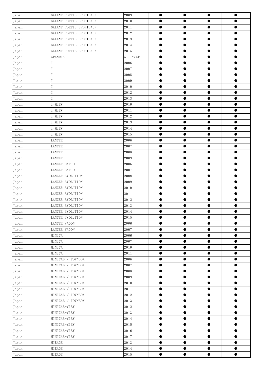| Japan          | GALANT FORTIS SPORTBACK | 2009     | $\bullet$ | $\bullet$ | $\bullet$ | $\bullet$ |
|----------------|-------------------------|----------|-----------|-----------|-----------|-----------|
| Japan          | GALANT FORTIS SPORTBACK | 2010     |           |           |           |           |
| Japan          | GALANT FORTIS SPORTBACK | 2011     | $\bullet$ | $\bullet$ | $\bullet$ | $\bullet$ |
| Japan          | GALANT FORTIS SPORTBACK | 2012     | $\bullet$ | $\bullet$ | $\bullet$ | $\bullet$ |
| Japan          | GALANT FORTIS SPORTBACK | 2013     | $\bullet$ | $\bullet$ | $\bullet$ | $\bullet$ |
| Japan          | GALANT FORTIS SPORTBACK | 2014     | $\bullet$ | $\bullet$ | $\bullet$ | $\bullet$ |
| Japan          | GALANT FORTIS SPORTBACK | 2015     | $\bullet$ | $\bullet$ | $\bullet$ | $\bullet$ |
| Japan          | GRANDIS                 | All Year | $\bullet$ | $\bullet$ | $\bullet$ | $\bullet$ |
| Japan          |                         | 2006     | $\bullet$ | $\bullet$ | $\bullet$ | $\bullet$ |
| Japan          |                         | 2007     | $\bullet$ | $\bullet$ | $\bullet$ | $\bullet$ |
| Japan          |                         | 2008     | $\bullet$ | $\bullet$ | $\bullet$ | $\bullet$ |
| Japan          |                         | 2009     | $\bullet$ | $\bullet$ | $\bullet$ | $\bullet$ |
| Japan          |                         | 2010     | $\bullet$ | $\bullet$ | $\bullet$ | $\bullet$ |
| Japan          |                         | 2012     | $\bullet$ | $\bullet$ | $\bullet$ | $\bullet$ |
| Japan          |                         | 2013     | $\bullet$ | $\bullet$ | $\bullet$ | $\bullet$ |
| Japan          | I-MIEV                  | 2010     | $\bullet$ | $\bullet$ | $\bullet$ | $\bullet$ |
| Japan          | I-MIEV                  | 2011     | $\bullet$ | $\bullet$ | $\bullet$ | $\bullet$ |
| Japan          | I-MIEV                  | 2012     | $\bullet$ | $\bullet$ | $\bullet$ | $\bullet$ |
| Japan          | I-MIEV                  | 2013     | $\bullet$ | $\bullet$ | $\bullet$ | $\bullet$ |
| Japan          | I-MIEV                  | 2014     | $\bullet$ | $\bullet$ | $\bullet$ | $\bullet$ |
| Japan          | I-MIEV                  | 2015     | $\bullet$ | $\bullet$ | $\bullet$ | $\bullet$ |
| Japan          | LANCER                  | 2006     | $\bullet$ | $\bullet$ | $\bullet$ | $\bullet$ |
| Japan          | LANCER                  | 2007     | $\bullet$ | $\bullet$ | $\bullet$ | $\bullet$ |
| Japan          | LANCER                  | 2008     | $\bullet$ | $\bullet$ | $\bullet$ | $\bullet$ |
| Japan          | LANCER                  | 2009     | $\bullet$ | $\bullet$ | $\bullet$ | $\bullet$ |
| Japan          | LANCER CARGO            | 2006     | $\bullet$ | $\bullet$ | $\bullet$ | $\bullet$ |
| Japan          | LANCER CARGO            | 2007     | $\bullet$ | $\bullet$ | $\bullet$ | $\bullet$ |
| Japan          | LANCER EVOLUTION        | 2008     | $\bullet$ | $\bullet$ | $\bullet$ | $\bullet$ |
| Japan          | LANCER EVOLUTION        | 2009     | $\bullet$ | $\bullet$ | $\bullet$ | $\bullet$ |
| Japan          | LANCER EVOLUTION        | 2010     | $\bullet$ | $\bullet$ | $\bullet$ | $\bullet$ |
| Japan          | LANCER EVOLUTION        | 2011     | $\bullet$ | $\bullet$ | $\bullet$ | $\bullet$ |
| Japan          | LANCER EVOLUTION        | 2012     | $\bullet$ | $\bullet$ | $\bullet$ | $\bullet$ |
| Japan<br>Japan | LANCER EVOLUTION        | 2013     | $\bullet$ | $\bullet$ | $\bullet$ | $\bullet$ |
|                | LANCER EVOLUTION        | 2014     |           |           |           |           |
| Japan          | LANCER EVOLUTION        | 2015     | $\bullet$ | $\bullet$ | $\bullet$ | $\bullet$ |
| Japan          | LANCER WAGON            | 2006     | $\bullet$ | $\bullet$ | $\bullet$ | $\bullet$ |
| Japan          | LANCER WAGON            | 2007     | $\bullet$ | $\bullet$ | $\bullet$ | $\bullet$ |
| Japan          | MINICA                  | 2006     | $\bullet$ | $\bullet$ | $\bullet$ | $\bullet$ |
| Japan          | MINICA                  | 2007     | $\bullet$ | $\bullet$ | $\bullet$ | $\bullet$ |
| Japan          | MINICA                  | 2010     | $\bullet$ | $\bullet$ | $\bullet$ | $\bullet$ |
| Japan          | MINICA                  | 2011     | $\bullet$ | $\bullet$ | $\bullet$ | $\bullet$ |
| Japan          | MINICAB / TOWNBOX       | 2006     | $\bullet$ | $\bullet$ | $\bullet$ | $\bullet$ |
| Japan          | MINICAB / TOWNBOX       | 2007     | $\bullet$ | $\bullet$ | $\bullet$ | $\bullet$ |
| Japan          | MINICAB / TOWNBOX       | 2008     | $\bullet$ | $\bullet$ | $\bullet$ | $\bullet$ |
| Japan          | MINICAB / TOWNBOX       | 2009     | $\bullet$ | $\bullet$ | $\bullet$ | $\bullet$ |
| Japan          | MINICAB / TOWNBOX       | 2010     | $\bullet$ | $\bullet$ | $\bullet$ | $\bullet$ |
| Japan          | MINICAB / TOWNBOX       | 2011     | $\bullet$ | $\bullet$ | $\bullet$ | $\bullet$ |
| Japan          | MINICAB / TOWNBOX       | 2012     | $\bullet$ | $\bullet$ | $\bullet$ | $\bullet$ |
| Japan          | MINICAB / TOWNBOX       | 2013     | $\bullet$ | $\bullet$ | $\bullet$ | $\bullet$ |
| Japan          | MINICAB-MIEV            | 2012     | $\bullet$ | $\bullet$ | $\bullet$ | $\bullet$ |
| Japan          | MINICAB-MIEV            | 2013     | $\bullet$ | $\bullet$ | $\bullet$ | $\bullet$ |
| Japan          | MINICAB-MIEV            | 2014     | $\bullet$ | $\bullet$ | $\bullet$ | $\bullet$ |
| Japan          | MINICAB-MIEV            | 2015     | $\bullet$ | $\bullet$ | $\bullet$ | $\bullet$ |
| Japan          | MINICAB-MIEV            | 2016     | $\bullet$ | $\bullet$ | $\bullet$ | $\bullet$ |
| Japan          | MINICAB-MIEV            | 2017     | $\bullet$ | $\bullet$ | $\bullet$ | $\bullet$ |
| Japan          | MIRAGE                  | 2013     | $\bullet$ | $\bullet$ | $\bullet$ | $\bullet$ |
| Japan          | MIRAGE                  | 2014     | $\bullet$ | $\bullet$ | $\bullet$ | $\bullet$ |
| $_{\rm Japan}$ | MIRAGE                  | 2015     | $\bullet$ | $\bullet$ | $\bullet$ | $\bullet$ |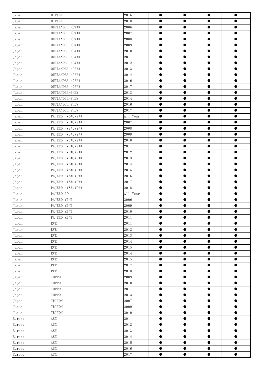| Japan          | MIRAGE             | 2016     | $\bullet$ | $\bullet$ | $\bullet$ | $\bullet$ |
|----------------|--------------------|----------|-----------|-----------|-----------|-----------|
| Japan          | MIRAGE             | 2018     | $\bullet$ | $\bullet$ | $\bullet$ | $\bullet$ |
| Japan          | OUTLANDER (CW#)    | 2006     | $\bullet$ | $\bullet$ | $\bullet$ | $\bullet$ |
| Japan          | OUTLANDER (CW#)    | 2007     | $\bullet$ | $\bullet$ | $\bullet$ | $\bullet$ |
| Japan          | OUTLANDER (CW#)    | 2008     | $\bullet$ | $\bullet$ | $\bullet$ | $\bullet$ |
| Japan          | OUTLANDER (CW#)    | 2009     | $\bullet$ | $\bullet$ | $\bullet$ | $\bullet$ |
| Japan          | OUTLANDER (CW#)    | 2010     | $\bullet$ | $\bullet$ | $\bullet$ | $\bullet$ |
| Japan          | OUTLANDER (CW#)    | 2011     | $\bullet$ | $\bullet$ | $\bullet$ | $\bullet$ |
| Japan          | OUTLANDER (CW#)    | 2012     | $\bullet$ | $\bullet$ | $\bullet$ | $\bullet$ |
| Japan          | OUTLANDER (GF#)    | 2013     | $\bullet$ | $\bullet$ | $\bullet$ | $\bullet$ |
| Japan          | OUTLANDER (GF#)    | 2014     | $\bullet$ | $\bullet$ | $\bullet$ | $\bullet$ |
| Japan          | OUTLANDER (GF#)    | 2016     | $\bullet$ | $\bullet$ | $\bullet$ | $\bullet$ |
| Japan          | OUTLANDER (GF#)    | 2017     | $\bullet$ | $\bullet$ | $\bullet$ | $\bullet$ |
| Japan          | OUTLANDER-PHEV     | 2013     | $\bullet$ | $\bullet$ | $\bullet$ | $\bullet$ |
| Japan          | OUTLANDER-PHEV     | 2014     | $\bullet$ | $\bullet$ | $\bullet$ | $\bullet$ |
| Japan          | OUTLANDER-PHEV     | 2016     | $\bullet$ | $\bullet$ | $\bullet$ | $\bullet$ |
| Japan          | OUTLANDER-PHEV     | 2017     | $\bullet$ | $\bullet$ | $\bullet$ | $\bullet$ |
| Japan          | PAJERO (V6#, V7#)  | All Year | $\bullet$ | $\bullet$ | $\bullet$ | $\bullet$ |
| Japan          | PAJERO (V8#, V9#)  | 2007     | $\bullet$ | $\bullet$ | $\bullet$ | $\bullet$ |
| Japan          | PAJERO (V8#, V9#)  | 2008     | $\bullet$ | $\bullet$ | $\bullet$ | $\bullet$ |
| Japan          | PAJERO (V8#, V9#)  | 2009     | $\bullet$ | $\bullet$ | $\bullet$ | $\bullet$ |
| Japan          | PAJERO (V8#, V9#)  | 2010     | $\bullet$ | $\bullet$ | $\bullet$ | $\bullet$ |
| Japan          | PAJERO (V8#, V9#)  | 2011     | $\bullet$ | $\bullet$ | $\bullet$ | $\bullet$ |
| Japan          | PAJERO (V8#, V9#)  | 2012     | $\bullet$ | $\bullet$ | $\bullet$ | $\bullet$ |
| Japan          | PAJERO (V8#, V9#)  | 2013     | $\bullet$ | $\bullet$ | $\bullet$ | $\bullet$ |
| Japan          | PAJERO (V8#, V9#)  | 2014     | $\bullet$ | $\bullet$ | $\bullet$ | $\bullet$ |
| Japan          | PAJERO (V8#, V9#)  | 2015     | $\bullet$ | $\bullet$ | $\bullet$ | $\bullet$ |
| Japan          | PAJERO (V8#, V9#)  | 2016     | $\bullet$ | $\bullet$ | $\bullet$ | $\bullet$ |
| Japan          | PAJERO (V8#, V9#)  | 2017     | $\bullet$ | $\bullet$ | $\bullet$ | $\bullet$ |
| Japan          | PAJERO (V8#, V9#)  | 2018     | $\bullet$ | $\bullet$ | $\bullet$ | $\bullet$ |
| Japan          | PAJERO IO          | All Year | $\bullet$ | $\bullet$ | $\bullet$ | $\bullet$ |
| Japan          | PAJERO MINI        | 2006     | $\bullet$ | $\bullet$ | $\bullet$ | $\bullet$ |
| Japan          | PAJERO MINI        | 2009     | $\bullet$ | $\bullet$ | $\bullet$ | $\bullet$ |
|                | PAJERO MINI        | 2010     | $\bullet$ | $\bullet$ | $\bullet$ | $\bullet$ |
| Japan<br>Japan | PAJERO MINI        | 2011     | $\bullet$ | $\bullet$ | $\bullet$ | $\bullet$ |
| Japan          | RVR                | 2011     | $\bullet$ | $\bullet$ | $\bullet$ | $\bullet$ |
| Japan          | $\mathop{\rm RVR}$ | 2012     | $\bullet$ | $\bullet$ | $\bullet$ | $\bullet$ |
| Japan          | $\mathop{\rm RVR}$ | 2013     | $\bullet$ | $\bullet$ | $\bullet$ | $\bullet$ |
| Japan          | $\mathop{\rm RVR}$ | 2014     | $\bullet$ | $\bullet$ | $\bullet$ | $\bullet$ |
| Japan          | $\rm RVR$          | 2015     | $\bullet$ | $\bullet$ | $\bullet$ | $\bullet$ |
| Japan          | $\mathop{\rm RVR}$ | 2014     | $\bullet$ | $\bullet$ | $\bullet$ | $\bullet$ |
| Japan          | $\mathop{\rm RVR}$ | 2015     | $\bullet$ | $\bullet$ | $\bullet$ | $\bullet$ |
| Japan          | $\mathop{\rm RVR}$ | 2017     | $\bullet$ | $\bullet$ | $\bullet$ | $\bullet$ |
| Japan          | RVR                | 2018     | $\bullet$ | $\bullet$ | $\bullet$ | $\bullet$ |
| Japan          | TOPPO              | 2009     | $\bullet$ | $\bullet$ | $\bullet$ | $\bullet$ |
| Japan          | TOPPO              | 2010     | $\bullet$ | $\bullet$ | $\bullet$ | $\bullet$ |
| Japan          | TOPPO              | 2011     | $\bullet$ | $\bullet$ | $\bullet$ | $\bullet$ |
| Japan          | TOPPO              | 2013     | $\bullet$ | $\bullet$ | $\bullet$ | $\bullet$ |
| Japan          | TRITON             | 2007     | $\bullet$ | $\bullet$ | $\bullet$ | $\bullet$ |
| Japan          | TRITON             | 2009     | $\bullet$ | $\bullet$ | $\bullet$ | $\bullet$ |
| Japan          | TRITON             | 2010     | $\bullet$ | $\bullet$ | $\bullet$ | $\bullet$ |
| Europe         | ASSX               | 2011     | $\bullet$ | $\bullet$ | $\bullet$ | $\bullet$ |
| Europe         | <b>ASX</b>         | 2012     | $\bullet$ | $\bullet$ | $\bullet$ | $\bullet$ |
| Europe         | <b>ASX</b>         | 2013     | $\bullet$ | $\bullet$ | $\bullet$ | $\bullet$ |
| Europe         | ASX                | 2014     | $\bullet$ | $\bullet$ | $\bullet$ | $\bullet$ |
| Europe         | <b>ASX</b>         | 2015     | $\bullet$ | $\bullet$ | $\bullet$ | $\bullet$ |
| Europe         | <b>ASX</b>         | 2016     | $\bullet$ | $\bullet$ | $\bullet$ | $\bullet$ |
| Europe         | ASX                | 2017     | $\bullet$ | $\bullet$ | $\bullet$ | $\bullet$ |
|                |                    |          |           |           |           |           |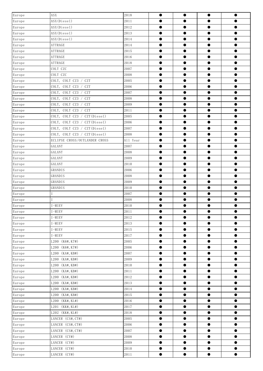| Europe               | <b>ASX</b>                    | 2018     | $\bullet$ | $\bullet$ | $\bullet$ | $\bullet$ |
|----------------------|-------------------------------|----------|-----------|-----------|-----------|-----------|
| Europe               | ASX(Diesel)                   | 2011     | $\bullet$ |           | 0         |           |
| Europe               | ASX(Diesel)                   | 2012     | $\bullet$ | $\bullet$ | $\bullet$ | $\bullet$ |
| Europe               | ASX(Diesel)                   | 2013     | $\bullet$ | $\bullet$ | $\bullet$ | $\bullet$ |
| Europe               | ASX(Diesel)                   | 2014     | $\bullet$ | $\bullet$ | $\bullet$ | $\bullet$ |
| $\Large{\tt Europe}$ | <b>ATTRAGE</b>                | 2014     | $\bullet$ | $\bullet$ | $\bullet$ | $\bullet$ |
| Europe               | ATTRAGE                       | 2015     | $\bullet$ | $\bullet$ | $\bullet$ | $\bullet$ |
| Europe               | ATTRAGE                       | 2016     | ●         | $\bullet$ | $\bullet$ | $\bullet$ |
| Europe               | ATTRAGE                       | 2018     | $\bullet$ | $\bullet$ | $\bullet$ | $\bullet$ |
| Europe               | COLT CZC                      | 2007     | $\bullet$ | $\bullet$ | $\bullet$ | $\bullet$ |
| Europe               | COLT CZC                      | 2008     | $\bullet$ | $\bullet$ | $\bullet$ | $\bullet$ |
| Europe               | COLT, COLT CZ3 / CZT          | 2005     | $\bullet$ | ●         | $\bullet$ | $\bullet$ |
| Europe               | COLT, COLT CZ3 / CZT          | 2006     | $\bullet$ | $\bullet$ | $\bullet$ | $\bullet$ |
| Europe               | COLT, COLT CZ3 / CZT          | 2007     | $\bullet$ | $\bullet$ | $\bullet$ | $\bullet$ |
| Europe               | COLT CZ3 / CZT<br>COLT,       | 2008     | $\bullet$ | $\bullet$ | $\bullet$ | $\bullet$ |
| Europe               | COLT, COLT CZ3 / CZT          | 2009     | $\bullet$ | $\bullet$ | $\bullet$ | $\bullet$ |
| Europe               | COLT CZ3 / CZT<br>COLT,       | 2011     | $\bullet$ | $\bullet$ | $\bullet$ | $\bullet$ |
| Europe               | COLT, COLT CZ3 / CZT (Diesel) | 2005     | $\bullet$ | $\bullet$ | $\bullet$ | $\bullet$ |
| Europe               | COLT, COLT CZ3 / CZT (Diesel) | 2006     | $\bullet$ | $\bullet$ | $\bullet$ | $\bullet$ |
| Europe               | COLT, COLT CZ3 / CZT (Diesel) | 2007     | $\bullet$ | $\bullet$ | $\bullet$ | $\bullet$ |
| Europe               | COLT, COLT CZ3 / CZT (Diesel) | 2008     | $\bullet$ | $\bullet$ | $\bullet$ | $\bullet$ |
| $\Large{\tt Europe}$ | ECLIPSE CROSS/OUTLANDER CROSS | All Year | $\bullet$ | $\bullet$ | $\bullet$ | $\bullet$ |
| Europe               | GALANT                        | 2007     | $\bullet$ | $\bullet$ | $\bullet$ | $\bullet$ |
| Europe               | GALANT                        | 2008     | $\bullet$ | ●         | $\bullet$ | $\bullet$ |
| Europe               | GALANT                        | 2009     | $\bullet$ | $\bullet$ | $\bullet$ | $\bullet$ |
| Europe               | GALANT                        | 2010     | $\bullet$ | $\bullet$ | $\bullet$ | $\bullet$ |
| Europe               | GRANDIS                       | 2006     | $\bullet$ | $\bullet$ | $\bullet$ | $\bullet$ |
| Europe               | GRANDIS                       | 2008     | $\bullet$ | $\bullet$ | $\bullet$ | $\bullet$ |
| Europe               | GRANDIS                       | 2009     | $\bullet$ | $\bullet$ | $\bullet$ | $\bullet$ |
| Europe               | GRANDIS                       | 2010     | $\bullet$ | $\bullet$ | $\bullet$ | $\bullet$ |
| Europe               |                               | 2007     | $\bullet$ | $\bullet$ | $\bullet$ | $\bullet$ |
| Europe               |                               | 2008     | ●         |           | $\bullet$ | $\bullet$ |
| Europe               | I-MIEV                        | 2010     | $\bullet$ | 0         | $\bullet$ | $\bullet$ |
| Europe               | $I-MIEV$                      | 2011     |           |           | $\bullet$ |           |
| Europe               | I-MIEV                        | 2012     | $\bullet$ | $\bullet$ | $\bullet$ | $\bullet$ |
| Europe               | I-MIEV                        | 2013     | $\bullet$ | $\bullet$ | $\bullet$ | $\bullet$ |
| Europe               | I-MIEV                        | 2015     | $\bullet$ | $\bullet$ | $\bullet$ | $\bullet$ |
| Europe               | $I-MIEV$                      | 2017     | $\bullet$ | $\bullet$ | $\bullet$ | $\bullet$ |
| Europe               | L200 (K6#, K7#)               | 2005     | $\bullet$ | $\bullet$ | $\bullet$ | $\bullet$ |
| Europe               | L200 (K6#, K7#)               | 2006     | $\bullet$ | $\bullet$ | $\bullet$ | $\bullet$ |
| Europe               | L200 (KA#, KB#)               | 2007     | $\bullet$ | $\bullet$ | $\bullet$ | $\bullet$ |
| Europe               | L200 (KA#, KB#)               | 2009     | $\bullet$ | $\bullet$ | $\bullet$ | $\bullet$ |
| Europe               | $(KA\#$ , $KB\#)$<br>L200     | 2010     | $\bullet$ | $\bullet$ | $\bullet$ | $\bullet$ |
| Europe               | L200 (KA#, KB#)               | 2011     | $\bullet$ | $\bullet$ | $\bullet$ | $\bullet$ |
| Europe               | L200 (KA#, KB#)               | 2012     | $\bullet$ | $\bullet$ | $\bullet$ | $\bullet$ |
| Europe               | (KA#, KB#)<br>L200            | 2013     | $\bullet$ | $\bullet$ | $\bullet$ | $\bullet$ |
| Europe               | (KA#, KB#)<br>L200            | 2014     | $\bullet$ | $\bullet$ | $\bullet$ | $\bullet$ |
| Europe               | L200 (KA#, KB#)               | 2015     | $\bullet$ | $\bullet$ | $\bullet$ | $\bullet$ |
| Europe               | L200 (KK#, KL#)               | 2016     | $\bullet$ | $\bullet$ | $\bullet$ | $\bullet$ |
| Europe               | L201 (KK#, KL#)               | 2017     | $\bullet$ | $\bullet$ | $\bullet$ | $\bullet$ |
| Europe               | L202 (KK#, KL#)               | 2018     | $\bullet$ | $\bullet$ | $\bullet$ | $\bullet$ |
| Europe               | LANCER (CS#, CT#)             | 2005     | $\bullet$ | $\bullet$ | $\bullet$ | $\bullet$ |
| Europe               | LANCER (CS#, CT#)             | 2006     | $\bullet$ | $\bullet$ | $\bullet$ | $\bullet$ |
| Europe               | LANCER (CS#, CT#)             | 2007     | $\bullet$ | $\bullet$ | $\bullet$ | $\bullet$ |
| Europe               | LANCER (CY#)                  | 2008     | $\bullet$ | $\bullet$ | $\bullet$ | $\bullet$ |
| Europe               | LANCER (CY#)                  | 2009     | $\bullet$ | $\bullet$ | $\bullet$ | $\bullet$ |
| Europe               | LANCER (CY#)                  | 2010     | $\bullet$ | $\bullet$ | $\bullet$ | $\bullet$ |
| Europe               | LANCER (CY#)                  | 2011     | $\bullet$ | $\bullet$ | $\bullet$ | $\bullet$ |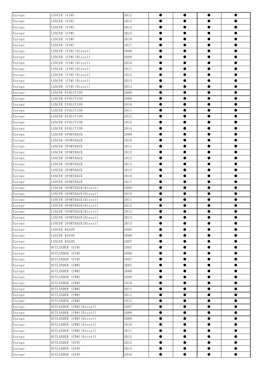| Europe                    | LANCER (CY#)              | 2012 | $\bullet$ | $\bullet$ | $\bullet$ | $\bullet$ |
|---------------------------|---------------------------|------|-----------|-----------|-----------|-----------|
| Europe                    | LANCER (CY#)              | 2013 | $\bullet$ | $\bullet$ | $\bullet$ | $\bullet$ |
| Europe                    | LANCER (CY#)              | 2014 | $\bullet$ | $\bullet$ | $\bullet$ | $\bullet$ |
| Europe                    | LANCER (CY#)              | 2015 | $\bullet$ | $\bullet$ | $\bullet$ | $\bullet$ |
| Europe                    | LANCER (CY#)              | 2016 | $\bullet$ | $\bullet$ | $\bullet$ | $\bullet$ |
| Europe                    | LANCER (CY#)              | 2017 | $\bullet$ | $\bullet$ | $\bullet$ | $\bullet$ |
| Europe                    | LANCER (CY#) (Diesel)     | 2008 | $\bullet$ | $\bullet$ | $\bullet$ | $\bullet$ |
| Europe                    | LANCER (CY#) (Diesel)     | 2009 | $\bullet$ | $\bullet$ | $\bullet$ | $\bullet$ |
| Europe                    | LANCER (CY#) (Diesel)     | 2010 | $\bullet$ | $\bullet$ | $\bullet$ | $\bullet$ |
| Europe                    | LANCER (CY#) (Diesel)     | 2011 | $\bullet$ | $\bullet$ | $\bullet$ | $\bullet$ |
| Europe                    | LANCER (CY#) (Diesel)     | 2012 | $\bullet$ | $\bullet$ | $\bullet$ | $\bullet$ |
| Europe                    | LANCER (CY#) (Diesel)     | 2013 | $\bullet$ | $\bullet$ | $\bullet$ | $\bullet$ |
| Europe                    | LANCER (CY#) (Diesel)     | 2014 | $\bullet$ | $\bullet$ | $\bullet$ | $\bullet$ |
| Europe                    | LANCER EVOLUTION          | 2008 | $\bullet$ | $\bullet$ | $\bullet$ | $\bullet$ |
| Europe                    | LANCER EVOLUTION          | 2009 | $\bullet$ | $\bullet$ | $\bullet$ | $\bullet$ |
| Europe                    | LANCER EVOLUTION          | 2010 | $\bullet$ | $\bullet$ | $\bullet$ | $\bullet$ |
| Europe                    | LANCER EVOLUTION          | 2011 | $\bullet$ | $\bullet$ | $\bullet$ | $\bullet$ |
| Europe                    | LANCER EVOLUTION          | 2012 | $\bullet$ | $\bullet$ | $\bullet$ | $\bullet$ |
| Europe                    | LANCER EVOLUTION          | 2013 | $\bullet$ | $\bullet$ | $\bullet$ | $\bullet$ |
| Europe                    | LANCER EVOLUTION          | 2014 | $\bullet$ | $\bullet$ | $\bullet$ | $\bullet$ |
| Europe                    | LANCER SPORTBACK          | 2009 | $\bullet$ | $\bullet$ | $\bullet$ | $\bullet$ |
| Europe                    | LANCER SPORTBACK          | 2010 | $\bullet$ | $\bullet$ | $\bullet$ | $\bullet$ |
| Europe                    | LANCER SPORTBACK          | 2011 | $\bullet$ | $\bullet$ | $\bullet$ | $\bullet$ |
| Europe                    | LANCER SPORTBACK          | 2012 | $\bullet$ | $\bullet$ | $\bullet$ | $\bullet$ |
| Europe                    | LANCER SPORTBACK          | 2013 | $\bullet$ | $\bullet$ | $\bullet$ | $\bullet$ |
| Europe                    | LANCER SPORTBACK          | 2014 | $\bullet$ | $\bullet$ | $\bullet$ | $\bullet$ |
| Europe                    | LANCER SPORTBACK          | 2015 | $\bullet$ | $\bullet$ | $\bullet$ | $\bullet$ |
| Europe                    | LANCER SPORTBACK          | 2016 | $\bullet$ | $\bullet$ | $\bullet$ | $\bullet$ |
| Europe                    | LANCER SPORTBACK          | 2017 | $\bullet$ | $\bullet$ | $\bullet$ | $\bullet$ |
| Europe                    | LANCER SPORTBACK (Diesel) | 2009 | $\bullet$ | $\bullet$ | $\bullet$ | $\bullet$ |
| Europe                    | LANCER SPORTBACK (Diesel) | 2010 | $\bullet$ | $\bullet$ | $\bullet$ | $\bullet$ |
| Europe                    | LANCER SPORTBACK (Diesel) | 2011 | $\bullet$ | ●         | $\bullet$ | $\bullet$ |
| Europe                    | LANCER SPORTBACK (Diesel) | 2012 | $\bullet$ | $\bullet$ | $\bullet$ | $\bullet$ |
| Europe                    | LANCER SPORTBACK (Diesel) | 2013 |           |           | $\bullet$ |           |
| Europe                    | LANCER SPORTBACK (Diesel) | 2014 | $\bullet$ | $\bullet$ | $\bullet$ | $\bullet$ |
| Europe                    | LANCER SPORTBACK (Diesel) | 2015 | $\bullet$ | $\bullet$ | $\bullet$ | $\bullet$ |
| Europe                    | LANCER WAGON              | 2005 | $\bullet$ | $\bullet$ | $\bullet$ | $\bullet$ |
| Europe                    | LANCER WAGON              | 2006 | $\bullet$ | $\bullet$ | $\bullet$ | $\bullet$ |
| Europe                    | LANCER WAGON              | 2007 | $\bullet$ | $\bullet$ | $\bullet$ | $\bullet$ |
| Europe                    | OUTLANDER (CU#)           | 2005 | $\bullet$ | $\bullet$ | $\bullet$ | $\bullet$ |
| Europe                    | OUTLANDER (CU#)           | 2006 | $\bullet$ | $\bullet$ | $\bullet$ | $\bullet$ |
| Europe                    | OUTLANDER (CU#)           | 2007 | $\bullet$ | $\bullet$ | $\bullet$ | $\bullet$ |
| Europe                    | OUTLANDER (CW#)           | 2007 | $\bullet$ | $\bullet$ | $\bullet$ | $\bullet$ |
| Europe                    | OUTLANDER (CW#)           | 2008 | $\bullet$ | $\bullet$ | $\bullet$ | $\bullet$ |
| Europe                    | OUTLANDER (CW#)           | 2009 | $\bullet$ | $\bullet$ | $\bullet$ | $\bullet$ |
| Europe                    | OUTLANDER (CW#)           | 2010 | $\bullet$ | $\bullet$ | $\bullet$ | $\bullet$ |
| Europe                    | OUTLANDER (CW#)           | 2011 | $\bullet$ | $\bullet$ | $\bullet$ | $\bullet$ |
| Europe                    | OUTLANDER (CW#)           | 2012 | $\bullet$ | $\bullet$ | $\bullet$ | $\bullet$ |
| Europe                    | OUTLANDER (CW#)           | 2013 | $\bullet$ | $\bullet$ | $\bullet$ | $\bullet$ |
| Europe                    | OUTLANDER (CW#) (Diesel)  | 2007 | $\bullet$ | $\bullet$ | $\bullet$ | $\bullet$ |
| Europe                    | OUTLANDER (CW#) (Diesel)  | 2008 | $\bullet$ | $\bullet$ | $\bullet$ | $\bullet$ |
| Europe                    | OUTLANDER (CW#) (Diesel)  | 2009 | $\bullet$ | $\bullet$ | $\bullet$ | $\bullet$ |
| Europe                    | OUTLANDER (CW#) (Diesel)  | 2010 | $\bullet$ | $\bullet$ | $\bullet$ | $\bullet$ |
| Europe                    | OUTLANDER (CW#) (Diesel)  | 2011 | $\bullet$ | $\bullet$ | $\bullet$ | $\bullet$ |
| Europe                    | OUTLANDER (CW#) (Diesel)  | 2012 | $\bullet$ | $\bullet$ | $\bullet$ | $\bullet$ |
| Europe                    | OUTLANDER (GF#)           | 2013 | $\bullet$ | $\bullet$ | $\bullet$ | $\bullet$ |
| Europe                    | OUTLANDER (GF#)           | 2014 | $\bullet$ | $\bullet$ | $\bullet$ | $\bullet$ |
| $\Large{\texttt{Europe}}$ | OUTLANDER (GF#)           | 2016 | $\bullet$ | $\bullet$ | $\bullet$ | $\bullet$ |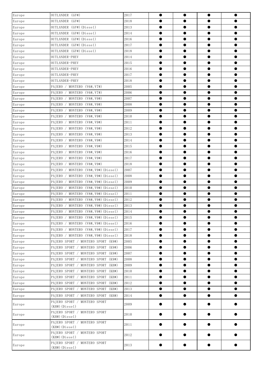| OUTLANDER (GF#)<br>2018<br>●<br>0<br>OUTLANDER (GF#) (Diesel)<br>2013<br>$\bullet$<br>$\bullet$<br>$\bullet$<br>OUTLANDER (GF#) (Diesel)<br>$\bullet$<br>$\bullet$<br>$\bullet$<br>2014<br>$\bullet$<br>OUTLANDER (GF#) (Diesel)<br>2016<br>$\bullet$<br>$\bullet$<br>$\bullet$<br>$\bullet$<br>OUTLANDER (GF#) (Diesel)<br>$\bullet$<br>$\bullet$<br>$\bullet$<br>2017<br>$\bullet$<br>OUTLANDER (GF#) (Diesel)<br>2018<br>$\bullet$<br>$\bullet$<br>$\bullet$<br>$\bullet$<br>OUTLANDER-PHEV<br>$\bullet$<br>$\bullet$<br>$\bullet$<br>$\bullet$<br>2014<br>2015<br>$\bullet$<br>OUTLANDER-PHEV<br>$\bullet$<br>$\bullet$<br>●<br>$\bullet$<br>Europe<br>OUTLANDER-PHEV<br>2016<br>$\bullet$<br>$\bullet$<br>$\bullet$<br>$\Large \texttt{Europe}$<br>OUTLANDER-PHEV<br>2017<br>$\bullet$<br>$\bullet$<br>$\bullet$<br>$\bullet$<br>$\Large \texttt{Europe}$<br>OUTLANDER-PHEV<br>$\bullet$<br>$\bullet$<br>$\bullet$<br>2018<br>$\bullet$<br>2005<br>$\bullet$<br>PAJERO / MONTERO (V6#, V7#)<br>$\bullet$<br>$\bullet$<br>$\bullet$<br>$\bullet$<br>$\bullet$<br>$\bullet$<br>PAJERO / MONTERO (V6#, V7#)<br>2006<br>$\bullet$<br>PAJERO / MONTERO (V8#, V9#)<br>2007<br>$\bullet$<br>$\bullet$<br>$\bullet$<br>$\bullet$<br>$\bullet$<br>MONTERO (V8#, V9#)<br>$\bullet$<br>$\bullet$<br>$\bullet$<br>Europe<br>PAJERO /<br>2008<br>2009<br>PAJERO<br>/ MONTERO $(V8\#, V9\#)$<br>$\bullet$<br>$\bullet$<br>Europe<br>●<br>$\bullet$<br>$\bullet$<br>$\bullet$<br>PAJERO<br>MONTERO (V8#, V9#)<br>2010<br>$\bullet$<br>$\bullet$<br>$\Large \texttt{Europe}$<br>PAJERO / MONTERO (V8#, V9#)<br>2011<br>$\bullet$<br>$\bullet$<br>$\bullet$<br>$\bullet$<br>Europe<br>MONTERO (V8#, V9#)<br>2012<br>$\bullet$<br>$\bullet$<br>$\bullet$<br>PAJERO /<br>$\bullet$<br>2013<br>$\bullet$<br>/ MONTERO $(V8#, V9#)$<br>$\bullet$<br>$\bullet$<br>Europe<br>PAJERO<br>●<br>$\bullet$<br>$\bullet$<br>$\bullet$<br>MONTERO (V8#, V9#)<br>2014<br>$\bullet$<br>Europe<br>PAJERO /<br>Europe<br>PAJERO / MONTERO (V8#, V9#)<br>2015<br>$\bullet$<br>$\bullet$<br>$\bullet$<br>$\bullet$<br>MONTERO (V8#, V9#)<br>2016<br>$\bullet$<br>$\bullet$<br>$\bullet$<br>$\bullet$<br>Europe<br>PAJERO /<br>$\bullet$<br>/ MONTERO $(V8\#, V9\#)$<br>2017<br>$\bullet$<br>$\bullet$<br>Europe<br>PAJERO<br>●<br>$\bullet$<br>$\bullet$<br>PAJERO<br>MONTERO (V8#, V9#)<br>2018<br>$\bullet$<br>$\bullet$<br>Europe<br>$\Large \texttt{Europe}$<br>PAJERO / MONTERO (V8#, V9#) (Diesel)<br>2007<br>$\bullet$<br>$\bullet$<br>$\bullet$<br>$\bullet$<br>Europe<br>MONTERO (V8#, V9#) (Diesel)<br>$\bullet$<br>$\bullet$<br>$\bullet$<br>PAJERO<br>2008<br>$\bullet$<br>$\sqrt{2}$<br>2009<br>/ MONTERO (V8#,V9#)(Diesel)<br>$\bullet$<br>$\bullet$<br>Europe<br>PAJERO<br>$\bullet$<br>$\bullet$<br>$\bullet$<br>$\bullet$<br>$\bullet$<br>MONTERO (V8#, V9#) (Diesel)<br>2010<br>$\bullet$<br>Europe<br>PAJERO /<br>Europe<br>PAJERO / MONTERO (V8#, V9#) (Diesel)<br>2011<br>$\bullet$<br>$\bullet$<br>$\bullet$<br>$\bullet$<br>$\bullet$<br>$\bullet$<br>$\bullet$<br>Europe<br>PAJERO<br>MONTERO (V8#, V9#) (Diesel)<br>2012<br>$\bullet$<br>2013<br>$\bullet$<br>Europe<br>PAIERO / MONTERO (V8#, V9#) (Diesel)<br>$\bullet$<br>$\bullet$<br>0<br>Europe<br>PAJERO / MONTERO (V8#,V9#)(Diesel)<br>2014<br>Europe<br>PAJERO / MONTERO (V8#, V9#) (Diesel)<br>2015<br>$\bullet$<br>$\bullet$<br>●<br>$\bullet$<br>Europe<br>PAJERO / MONTERO (V8#, V9#) (Diesel)<br>$\bullet$<br>2016<br>$\bullet$<br>$\bullet$<br>$\bullet$<br>2017<br>PAIERO / MONTERO (V8#, V9#) (Diesel)<br>$\bullet$<br>$\bullet$<br>Europe<br>$\bullet$<br>$\bullet$<br>$\bullet$<br>PAIERO / MONTERO (V8#, V9#) (Diesel)<br>2018<br>$\bullet$<br>$\bullet$<br>Europe<br>$\bullet$<br>Europe<br>PAJERO SPORT / MONTERO SPORT (K9#)<br>2005<br>$\bullet$<br>$\bullet$<br>$\bullet$<br>$\bullet$<br>Europe<br>PAJERO SPORT / MONTERO SPORT<br>$\bullet$<br>(K9#)<br>2006<br>$\bullet$<br>$\bullet$<br>$\bullet$<br>2007<br>PAJERO SPORT / MONTERO SPORT (K9#)<br>$\bullet$<br>Europe<br>$\bullet$<br>$\bullet$<br>$\bullet$<br>$\bullet$<br>PAJERO SPORT / MONTERO SPORT (K9#)<br>2008<br>$\bullet$<br>$\bullet$<br>$\bullet$<br>Europe<br>Europe<br>PAJERO SPORT / MONTERO SPORT<br>2009<br>$\bullet$<br>(KH#)<br>$\bullet$<br>$\bullet$<br>$\bullet$<br>Europe<br>PAJERO SPORT / MONTERO SPORT<br>(KH#)<br>2010<br>$\bullet$<br>$\bullet$<br>$\bullet$<br>$\bullet$<br>PAJERO SPORT / MONTERO SPORT<br>(KH#)<br>2011<br>$\bullet$<br>$\bullet$<br>$\bullet$<br>Europe<br>$\bullet$<br>PAJERO SPORT / MONTERO SPORT (KH#)<br>2012<br>$\bullet$<br>Europe<br>$\bullet$<br>$\bullet$<br>$\bullet$<br>PAJERO SPORT / MONTERO SPORT (KH#)<br>Europe<br>2013<br>$\bullet$<br>$\bullet$<br>$\bullet$<br>$\bullet$<br>$\bullet$<br>$\bullet$<br>PAJERO SPORT / MONTERO SPORT (KH#)<br>2014<br>$\bullet$<br>$\bullet$<br>Europe<br>PAJERO SPORT / MONTERO SPORT<br>Europe<br>2009<br>0<br>$(KHH)$ (Diesel)<br>PAJERO SPORT / MONTERO SPORT<br>2010<br>Europe<br>$\bullet$<br>$\bullet$<br>$\bullet$<br>$(KHH)$ (Diesel)<br>PAJERO SPORT / MONTERO SPORT<br>Europe<br>2011<br>$\bullet$<br>●<br>$(KH#)$ (Diesel)<br>PAJERO SPORT / MONTERO SPORT<br>2012<br>Europe<br>$\bullet$<br>0<br>0<br>$(KHH)$ (Diesel)<br>PAJERO SPORT / MONTERO SPORT<br>2013<br>$\bullet$<br>$\bullet$<br>$\bullet$<br>$\bullet$ | Europe                       | OUTLANDER (GF#)  | 2017 | $\bullet$ | $\bullet$ | $\bullet$ |
|------------------------------------------------------------------------------------------------------------------------------------------------------------------------------------------------------------------------------------------------------------------------------------------------------------------------------------------------------------------------------------------------------------------------------------------------------------------------------------------------------------------------------------------------------------------------------------------------------------------------------------------------------------------------------------------------------------------------------------------------------------------------------------------------------------------------------------------------------------------------------------------------------------------------------------------------------------------------------------------------------------------------------------------------------------------------------------------------------------------------------------------------------------------------------------------------------------------------------------------------------------------------------------------------------------------------------------------------------------------------------------------------------------------------------------------------------------------------------------------------------------------------------------------------------------------------------------------------------------------------------------------------------------------------------------------------------------------------------------------------------------------------------------------------------------------------------------------------------------------------------------------------------------------------------------------------------------------------------------------------------------------------------------------------------------------------------------------------------------------------------------------------------------------------------------------------------------------------------------------------------------------------------------------------------------------------------------------------------------------------------------------------------------------------------------------------------------------------------------------------------------------------------------------------------------------------------------------------------------------------------------------------------------------------------------------------------------------------------------------------------------------------------------------------------------------------------------------------------------------------------------------------------------------------------------------------------------------------------------------------------------------------------------------------------------------------------------------------------------------------------------------------------------------------------------------------------------------------------------------------------------------------------------------------------------------------------------------------------------------------------------------------------------------------------------------------------------------------------------------------------------------------------------------------------------------------------------------------------------------------------------------------------------------------------------------------------------------------------------------------------------------------------------------------------------------------------------------------------------------------------------------------------------------------------------------------------------------------------------------------------------------------------------------------------------------------------------------------------------------------------------------------------------------------------------------------------------------------------------------------------------------------------------------------------------------------------------------------------------------------------------------------------------------------------------------------------------------------------------------------------------------------------------------------------------------------------------------------------------------------------------------------------------------------------------------------------------------------------------------------------------------------------------------------------------------------------------------------------------------------------------------------------------------------------------------------------------------------------------------------------------------------------------------------------------------------------------------------------------------------------------------------------------------------------------------------------------------------------------------------------------------------------------------------------------------------------------------------------------|------------------------------|------------------|------|-----------|-----------|-----------|
|                                                                                                                                                                                                                                                                                                                                                                                                                                                                                                                                                                                                                                                                                                                                                                                                                                                                                                                                                                                                                                                                                                                                                                                                                                                                                                                                                                                                                                                                                                                                                                                                                                                                                                                                                                                                                                                                                                                                                                                                                                                                                                                                                                                                                                                                                                                                                                                                                                                                                                                                                                                                                                                                                                                                                                                                                                                                                                                                                                                                                                                                                                                                                                                                                                                                                                                                                                                                                                                                                                                                                                                                                                                                                                                                                                                                                                                                                                                                                                                                                                                                                                                                                                                                                                                                                                                                                                                                                                                                                                                                                                                                                                                                                                                                                                                                                                                                                                                                                                                                                                                                                                                                                                                                                                                                                                                                                            | Europe                       |                  |      |           |           |           |
|                                                                                                                                                                                                                                                                                                                                                                                                                                                                                                                                                                                                                                                                                                                                                                                                                                                                                                                                                                                                                                                                                                                                                                                                                                                                                                                                                                                                                                                                                                                                                                                                                                                                                                                                                                                                                                                                                                                                                                                                                                                                                                                                                                                                                                                                                                                                                                                                                                                                                                                                                                                                                                                                                                                                                                                                                                                                                                                                                                                                                                                                                                                                                                                                                                                                                                                                                                                                                                                                                                                                                                                                                                                                                                                                                                                                                                                                                                                                                                                                                                                                                                                                                                                                                                                                                                                                                                                                                                                                                                                                                                                                                                                                                                                                                                                                                                                                                                                                                                                                                                                                                                                                                                                                                                                                                                                                                            | $\ensuremath{\text{Europe}}$ |                  |      |           |           |           |
|                                                                                                                                                                                                                                                                                                                                                                                                                                                                                                                                                                                                                                                                                                                                                                                                                                                                                                                                                                                                                                                                                                                                                                                                                                                                                                                                                                                                                                                                                                                                                                                                                                                                                                                                                                                                                                                                                                                                                                                                                                                                                                                                                                                                                                                                                                                                                                                                                                                                                                                                                                                                                                                                                                                                                                                                                                                                                                                                                                                                                                                                                                                                                                                                                                                                                                                                                                                                                                                                                                                                                                                                                                                                                                                                                                                                                                                                                                                                                                                                                                                                                                                                                                                                                                                                                                                                                                                                                                                                                                                                                                                                                                                                                                                                                                                                                                                                                                                                                                                                                                                                                                                                                                                                                                                                                                                                                            | Europe                       |                  |      |           |           |           |
|                                                                                                                                                                                                                                                                                                                                                                                                                                                                                                                                                                                                                                                                                                                                                                                                                                                                                                                                                                                                                                                                                                                                                                                                                                                                                                                                                                                                                                                                                                                                                                                                                                                                                                                                                                                                                                                                                                                                                                                                                                                                                                                                                                                                                                                                                                                                                                                                                                                                                                                                                                                                                                                                                                                                                                                                                                                                                                                                                                                                                                                                                                                                                                                                                                                                                                                                                                                                                                                                                                                                                                                                                                                                                                                                                                                                                                                                                                                                                                                                                                                                                                                                                                                                                                                                                                                                                                                                                                                                                                                                                                                                                                                                                                                                                                                                                                                                                                                                                                                                                                                                                                                                                                                                                                                                                                                                                            | Europe                       |                  |      |           |           |           |
|                                                                                                                                                                                                                                                                                                                                                                                                                                                                                                                                                                                                                                                                                                                                                                                                                                                                                                                                                                                                                                                                                                                                                                                                                                                                                                                                                                                                                                                                                                                                                                                                                                                                                                                                                                                                                                                                                                                                                                                                                                                                                                                                                                                                                                                                                                                                                                                                                                                                                                                                                                                                                                                                                                                                                                                                                                                                                                                                                                                                                                                                                                                                                                                                                                                                                                                                                                                                                                                                                                                                                                                                                                                                                                                                                                                                                                                                                                                                                                                                                                                                                                                                                                                                                                                                                                                                                                                                                                                                                                                                                                                                                                                                                                                                                                                                                                                                                                                                                                                                                                                                                                                                                                                                                                                                                                                                                            | Europe                       |                  |      |           |           |           |
|                                                                                                                                                                                                                                                                                                                                                                                                                                                                                                                                                                                                                                                                                                                                                                                                                                                                                                                                                                                                                                                                                                                                                                                                                                                                                                                                                                                                                                                                                                                                                                                                                                                                                                                                                                                                                                                                                                                                                                                                                                                                                                                                                                                                                                                                                                                                                                                                                                                                                                                                                                                                                                                                                                                                                                                                                                                                                                                                                                                                                                                                                                                                                                                                                                                                                                                                                                                                                                                                                                                                                                                                                                                                                                                                                                                                                                                                                                                                                                                                                                                                                                                                                                                                                                                                                                                                                                                                                                                                                                                                                                                                                                                                                                                                                                                                                                                                                                                                                                                                                                                                                                                                                                                                                                                                                                                                                            | $\Large \texttt{Europe}$     |                  |      |           |           |           |
|                                                                                                                                                                                                                                                                                                                                                                                                                                                                                                                                                                                                                                                                                                                                                                                                                                                                                                                                                                                                                                                                                                                                                                                                                                                                                                                                                                                                                                                                                                                                                                                                                                                                                                                                                                                                                                                                                                                                                                                                                                                                                                                                                                                                                                                                                                                                                                                                                                                                                                                                                                                                                                                                                                                                                                                                                                                                                                                                                                                                                                                                                                                                                                                                                                                                                                                                                                                                                                                                                                                                                                                                                                                                                                                                                                                                                                                                                                                                                                                                                                                                                                                                                                                                                                                                                                                                                                                                                                                                                                                                                                                                                                                                                                                                                                                                                                                                                                                                                                                                                                                                                                                                                                                                                                                                                                                                                            | Europe                       |                  |      |           |           |           |
|                                                                                                                                                                                                                                                                                                                                                                                                                                                                                                                                                                                                                                                                                                                                                                                                                                                                                                                                                                                                                                                                                                                                                                                                                                                                                                                                                                                                                                                                                                                                                                                                                                                                                                                                                                                                                                                                                                                                                                                                                                                                                                                                                                                                                                                                                                                                                                                                                                                                                                                                                                                                                                                                                                                                                                                                                                                                                                                                                                                                                                                                                                                                                                                                                                                                                                                                                                                                                                                                                                                                                                                                                                                                                                                                                                                                                                                                                                                                                                                                                                                                                                                                                                                                                                                                                                                                                                                                                                                                                                                                                                                                                                                                                                                                                                                                                                                                                                                                                                                                                                                                                                                                                                                                                                                                                                                                                            | Europe                       |                  |      |           |           |           |
|                                                                                                                                                                                                                                                                                                                                                                                                                                                                                                                                                                                                                                                                                                                                                                                                                                                                                                                                                                                                                                                                                                                                                                                                                                                                                                                                                                                                                                                                                                                                                                                                                                                                                                                                                                                                                                                                                                                                                                                                                                                                                                                                                                                                                                                                                                                                                                                                                                                                                                                                                                                                                                                                                                                                                                                                                                                                                                                                                                                                                                                                                                                                                                                                                                                                                                                                                                                                                                                                                                                                                                                                                                                                                                                                                                                                                                                                                                                                                                                                                                                                                                                                                                                                                                                                                                                                                                                                                                                                                                                                                                                                                                                                                                                                                                                                                                                                                                                                                                                                                                                                                                                                                                                                                                                                                                                                                            |                              |                  |      |           |           |           |
|                                                                                                                                                                                                                                                                                                                                                                                                                                                                                                                                                                                                                                                                                                                                                                                                                                                                                                                                                                                                                                                                                                                                                                                                                                                                                                                                                                                                                                                                                                                                                                                                                                                                                                                                                                                                                                                                                                                                                                                                                                                                                                                                                                                                                                                                                                                                                                                                                                                                                                                                                                                                                                                                                                                                                                                                                                                                                                                                                                                                                                                                                                                                                                                                                                                                                                                                                                                                                                                                                                                                                                                                                                                                                                                                                                                                                                                                                                                                                                                                                                                                                                                                                                                                                                                                                                                                                                                                                                                                                                                                                                                                                                                                                                                                                                                                                                                                                                                                                                                                                                                                                                                                                                                                                                                                                                                                                            |                              |                  |      |           |           |           |
|                                                                                                                                                                                                                                                                                                                                                                                                                                                                                                                                                                                                                                                                                                                                                                                                                                                                                                                                                                                                                                                                                                                                                                                                                                                                                                                                                                                                                                                                                                                                                                                                                                                                                                                                                                                                                                                                                                                                                                                                                                                                                                                                                                                                                                                                                                                                                                                                                                                                                                                                                                                                                                                                                                                                                                                                                                                                                                                                                                                                                                                                                                                                                                                                                                                                                                                                                                                                                                                                                                                                                                                                                                                                                                                                                                                                                                                                                                                                                                                                                                                                                                                                                                                                                                                                                                                                                                                                                                                                                                                                                                                                                                                                                                                                                                                                                                                                                                                                                                                                                                                                                                                                                                                                                                                                                                                                                            |                              |                  |      |           |           |           |
|                                                                                                                                                                                                                                                                                                                                                                                                                                                                                                                                                                                                                                                                                                                                                                                                                                                                                                                                                                                                                                                                                                                                                                                                                                                                                                                                                                                                                                                                                                                                                                                                                                                                                                                                                                                                                                                                                                                                                                                                                                                                                                                                                                                                                                                                                                                                                                                                                                                                                                                                                                                                                                                                                                                                                                                                                                                                                                                                                                                                                                                                                                                                                                                                                                                                                                                                                                                                                                                                                                                                                                                                                                                                                                                                                                                                                                                                                                                                                                                                                                                                                                                                                                                                                                                                                                                                                                                                                                                                                                                                                                                                                                                                                                                                                                                                                                                                                                                                                                                                                                                                                                                                                                                                                                                                                                                                                            | Europe                       |                  |      |           |           |           |
|                                                                                                                                                                                                                                                                                                                                                                                                                                                                                                                                                                                                                                                                                                                                                                                                                                                                                                                                                                                                                                                                                                                                                                                                                                                                                                                                                                                                                                                                                                                                                                                                                                                                                                                                                                                                                                                                                                                                                                                                                                                                                                                                                                                                                                                                                                                                                                                                                                                                                                                                                                                                                                                                                                                                                                                                                                                                                                                                                                                                                                                                                                                                                                                                                                                                                                                                                                                                                                                                                                                                                                                                                                                                                                                                                                                                                                                                                                                                                                                                                                                                                                                                                                                                                                                                                                                                                                                                                                                                                                                                                                                                                                                                                                                                                                                                                                                                                                                                                                                                                                                                                                                                                                                                                                                                                                                                                            | Europe                       |                  |      |           |           |           |
|                                                                                                                                                                                                                                                                                                                                                                                                                                                                                                                                                                                                                                                                                                                                                                                                                                                                                                                                                                                                                                                                                                                                                                                                                                                                                                                                                                                                                                                                                                                                                                                                                                                                                                                                                                                                                                                                                                                                                                                                                                                                                                                                                                                                                                                                                                                                                                                                                                                                                                                                                                                                                                                                                                                                                                                                                                                                                                                                                                                                                                                                                                                                                                                                                                                                                                                                                                                                                                                                                                                                                                                                                                                                                                                                                                                                                                                                                                                                                                                                                                                                                                                                                                                                                                                                                                                                                                                                                                                                                                                                                                                                                                                                                                                                                                                                                                                                                                                                                                                                                                                                                                                                                                                                                                                                                                                                                            | $\Large \texttt{Europe}$     |                  |      |           |           |           |
|                                                                                                                                                                                                                                                                                                                                                                                                                                                                                                                                                                                                                                                                                                                                                                                                                                                                                                                                                                                                                                                                                                                                                                                                                                                                                                                                                                                                                                                                                                                                                                                                                                                                                                                                                                                                                                                                                                                                                                                                                                                                                                                                                                                                                                                                                                                                                                                                                                                                                                                                                                                                                                                                                                                                                                                                                                                                                                                                                                                                                                                                                                                                                                                                                                                                                                                                                                                                                                                                                                                                                                                                                                                                                                                                                                                                                                                                                                                                                                                                                                                                                                                                                                                                                                                                                                                                                                                                                                                                                                                                                                                                                                                                                                                                                                                                                                                                                                                                                                                                                                                                                                                                                                                                                                                                                                                                                            |                              |                  |      |           |           |           |
|                                                                                                                                                                                                                                                                                                                                                                                                                                                                                                                                                                                                                                                                                                                                                                                                                                                                                                                                                                                                                                                                                                                                                                                                                                                                                                                                                                                                                                                                                                                                                                                                                                                                                                                                                                                                                                                                                                                                                                                                                                                                                                                                                                                                                                                                                                                                                                                                                                                                                                                                                                                                                                                                                                                                                                                                                                                                                                                                                                                                                                                                                                                                                                                                                                                                                                                                                                                                                                                                                                                                                                                                                                                                                                                                                                                                                                                                                                                                                                                                                                                                                                                                                                                                                                                                                                                                                                                                                                                                                                                                                                                                                                                                                                                                                                                                                                                                                                                                                                                                                                                                                                                                                                                                                                                                                                                                                            |                              |                  |      |           |           |           |
|                                                                                                                                                                                                                                                                                                                                                                                                                                                                                                                                                                                                                                                                                                                                                                                                                                                                                                                                                                                                                                                                                                                                                                                                                                                                                                                                                                                                                                                                                                                                                                                                                                                                                                                                                                                                                                                                                                                                                                                                                                                                                                                                                                                                                                                                                                                                                                                                                                                                                                                                                                                                                                                                                                                                                                                                                                                                                                                                                                                                                                                                                                                                                                                                                                                                                                                                                                                                                                                                                                                                                                                                                                                                                                                                                                                                                                                                                                                                                                                                                                                                                                                                                                                                                                                                                                                                                                                                                                                                                                                                                                                                                                                                                                                                                                                                                                                                                                                                                                                                                                                                                                                                                                                                                                                                                                                                                            | Europe                       |                  |      |           |           |           |
|                                                                                                                                                                                                                                                                                                                                                                                                                                                                                                                                                                                                                                                                                                                                                                                                                                                                                                                                                                                                                                                                                                                                                                                                                                                                                                                                                                                                                                                                                                                                                                                                                                                                                                                                                                                                                                                                                                                                                                                                                                                                                                                                                                                                                                                                                                                                                                                                                                                                                                                                                                                                                                                                                                                                                                                                                                                                                                                                                                                                                                                                                                                                                                                                                                                                                                                                                                                                                                                                                                                                                                                                                                                                                                                                                                                                                                                                                                                                                                                                                                                                                                                                                                                                                                                                                                                                                                                                                                                                                                                                                                                                                                                                                                                                                                                                                                                                                                                                                                                                                                                                                                                                                                                                                                                                                                                                                            |                              |                  |      |           |           |           |
|                                                                                                                                                                                                                                                                                                                                                                                                                                                                                                                                                                                                                                                                                                                                                                                                                                                                                                                                                                                                                                                                                                                                                                                                                                                                                                                                                                                                                                                                                                                                                                                                                                                                                                                                                                                                                                                                                                                                                                                                                                                                                                                                                                                                                                                                                                                                                                                                                                                                                                                                                                                                                                                                                                                                                                                                                                                                                                                                                                                                                                                                                                                                                                                                                                                                                                                                                                                                                                                                                                                                                                                                                                                                                                                                                                                                                                                                                                                                                                                                                                                                                                                                                                                                                                                                                                                                                                                                                                                                                                                                                                                                                                                                                                                                                                                                                                                                                                                                                                                                                                                                                                                                                                                                                                                                                                                                                            |                              |                  |      |           |           |           |
|                                                                                                                                                                                                                                                                                                                                                                                                                                                                                                                                                                                                                                                                                                                                                                                                                                                                                                                                                                                                                                                                                                                                                                                                                                                                                                                                                                                                                                                                                                                                                                                                                                                                                                                                                                                                                                                                                                                                                                                                                                                                                                                                                                                                                                                                                                                                                                                                                                                                                                                                                                                                                                                                                                                                                                                                                                                                                                                                                                                                                                                                                                                                                                                                                                                                                                                                                                                                                                                                                                                                                                                                                                                                                                                                                                                                                                                                                                                                                                                                                                                                                                                                                                                                                                                                                                                                                                                                                                                                                                                                                                                                                                                                                                                                                                                                                                                                                                                                                                                                                                                                                                                                                                                                                                                                                                                                                            |                              |                  |      |           |           |           |
|                                                                                                                                                                                                                                                                                                                                                                                                                                                                                                                                                                                                                                                                                                                                                                                                                                                                                                                                                                                                                                                                                                                                                                                                                                                                                                                                                                                                                                                                                                                                                                                                                                                                                                                                                                                                                                                                                                                                                                                                                                                                                                                                                                                                                                                                                                                                                                                                                                                                                                                                                                                                                                                                                                                                                                                                                                                                                                                                                                                                                                                                                                                                                                                                                                                                                                                                                                                                                                                                                                                                                                                                                                                                                                                                                                                                                                                                                                                                                                                                                                                                                                                                                                                                                                                                                                                                                                                                                                                                                                                                                                                                                                                                                                                                                                                                                                                                                                                                                                                                                                                                                                                                                                                                                                                                                                                                                            |                              |                  |      |           |           |           |
|                                                                                                                                                                                                                                                                                                                                                                                                                                                                                                                                                                                                                                                                                                                                                                                                                                                                                                                                                                                                                                                                                                                                                                                                                                                                                                                                                                                                                                                                                                                                                                                                                                                                                                                                                                                                                                                                                                                                                                                                                                                                                                                                                                                                                                                                                                                                                                                                                                                                                                                                                                                                                                                                                                                                                                                                                                                                                                                                                                                                                                                                                                                                                                                                                                                                                                                                                                                                                                                                                                                                                                                                                                                                                                                                                                                                                                                                                                                                                                                                                                                                                                                                                                                                                                                                                                                                                                                                                                                                                                                                                                                                                                                                                                                                                                                                                                                                                                                                                                                                                                                                                                                                                                                                                                                                                                                                                            |                              |                  |      |           |           |           |
|                                                                                                                                                                                                                                                                                                                                                                                                                                                                                                                                                                                                                                                                                                                                                                                                                                                                                                                                                                                                                                                                                                                                                                                                                                                                                                                                                                                                                                                                                                                                                                                                                                                                                                                                                                                                                                                                                                                                                                                                                                                                                                                                                                                                                                                                                                                                                                                                                                                                                                                                                                                                                                                                                                                                                                                                                                                                                                                                                                                                                                                                                                                                                                                                                                                                                                                                                                                                                                                                                                                                                                                                                                                                                                                                                                                                                                                                                                                                                                                                                                                                                                                                                                                                                                                                                                                                                                                                                                                                                                                                                                                                                                                                                                                                                                                                                                                                                                                                                                                                                                                                                                                                                                                                                                                                                                                                                            |                              |                  |      |           |           |           |
|                                                                                                                                                                                                                                                                                                                                                                                                                                                                                                                                                                                                                                                                                                                                                                                                                                                                                                                                                                                                                                                                                                                                                                                                                                                                                                                                                                                                                                                                                                                                                                                                                                                                                                                                                                                                                                                                                                                                                                                                                                                                                                                                                                                                                                                                                                                                                                                                                                                                                                                                                                                                                                                                                                                                                                                                                                                                                                                                                                                                                                                                                                                                                                                                                                                                                                                                                                                                                                                                                                                                                                                                                                                                                                                                                                                                                                                                                                                                                                                                                                                                                                                                                                                                                                                                                                                                                                                                                                                                                                                                                                                                                                                                                                                                                                                                                                                                                                                                                                                                                                                                                                                                                                                                                                                                                                                                                            |                              |                  |      |           |           |           |
|                                                                                                                                                                                                                                                                                                                                                                                                                                                                                                                                                                                                                                                                                                                                                                                                                                                                                                                                                                                                                                                                                                                                                                                                                                                                                                                                                                                                                                                                                                                                                                                                                                                                                                                                                                                                                                                                                                                                                                                                                                                                                                                                                                                                                                                                                                                                                                                                                                                                                                                                                                                                                                                                                                                                                                                                                                                                                                                                                                                                                                                                                                                                                                                                                                                                                                                                                                                                                                                                                                                                                                                                                                                                                                                                                                                                                                                                                                                                                                                                                                                                                                                                                                                                                                                                                                                                                                                                                                                                                                                                                                                                                                                                                                                                                                                                                                                                                                                                                                                                                                                                                                                                                                                                                                                                                                                                                            |                              |                  |      |           |           |           |
|                                                                                                                                                                                                                                                                                                                                                                                                                                                                                                                                                                                                                                                                                                                                                                                                                                                                                                                                                                                                                                                                                                                                                                                                                                                                                                                                                                                                                                                                                                                                                                                                                                                                                                                                                                                                                                                                                                                                                                                                                                                                                                                                                                                                                                                                                                                                                                                                                                                                                                                                                                                                                                                                                                                                                                                                                                                                                                                                                                                                                                                                                                                                                                                                                                                                                                                                                                                                                                                                                                                                                                                                                                                                                                                                                                                                                                                                                                                                                                                                                                                                                                                                                                                                                                                                                                                                                                                                                                                                                                                                                                                                                                                                                                                                                                                                                                                                                                                                                                                                                                                                                                                                                                                                                                                                                                                                                            |                              |                  |      |           |           |           |
|                                                                                                                                                                                                                                                                                                                                                                                                                                                                                                                                                                                                                                                                                                                                                                                                                                                                                                                                                                                                                                                                                                                                                                                                                                                                                                                                                                                                                                                                                                                                                                                                                                                                                                                                                                                                                                                                                                                                                                                                                                                                                                                                                                                                                                                                                                                                                                                                                                                                                                                                                                                                                                                                                                                                                                                                                                                                                                                                                                                                                                                                                                                                                                                                                                                                                                                                                                                                                                                                                                                                                                                                                                                                                                                                                                                                                                                                                                                                                                                                                                                                                                                                                                                                                                                                                                                                                                                                                                                                                                                                                                                                                                                                                                                                                                                                                                                                                                                                                                                                                                                                                                                                                                                                                                                                                                                                                            |                              |                  |      |           |           |           |
|                                                                                                                                                                                                                                                                                                                                                                                                                                                                                                                                                                                                                                                                                                                                                                                                                                                                                                                                                                                                                                                                                                                                                                                                                                                                                                                                                                                                                                                                                                                                                                                                                                                                                                                                                                                                                                                                                                                                                                                                                                                                                                                                                                                                                                                                                                                                                                                                                                                                                                                                                                                                                                                                                                                                                                                                                                                                                                                                                                                                                                                                                                                                                                                                                                                                                                                                                                                                                                                                                                                                                                                                                                                                                                                                                                                                                                                                                                                                                                                                                                                                                                                                                                                                                                                                                                                                                                                                                                                                                                                                                                                                                                                                                                                                                                                                                                                                                                                                                                                                                                                                                                                                                                                                                                                                                                                                                            |                              |                  |      |           |           |           |
|                                                                                                                                                                                                                                                                                                                                                                                                                                                                                                                                                                                                                                                                                                                                                                                                                                                                                                                                                                                                                                                                                                                                                                                                                                                                                                                                                                                                                                                                                                                                                                                                                                                                                                                                                                                                                                                                                                                                                                                                                                                                                                                                                                                                                                                                                                                                                                                                                                                                                                                                                                                                                                                                                                                                                                                                                                                                                                                                                                                                                                                                                                                                                                                                                                                                                                                                                                                                                                                                                                                                                                                                                                                                                                                                                                                                                                                                                                                                                                                                                                                                                                                                                                                                                                                                                                                                                                                                                                                                                                                                                                                                                                                                                                                                                                                                                                                                                                                                                                                                                                                                                                                                                                                                                                                                                                                                                            |                              |                  |      |           |           |           |
|                                                                                                                                                                                                                                                                                                                                                                                                                                                                                                                                                                                                                                                                                                                                                                                                                                                                                                                                                                                                                                                                                                                                                                                                                                                                                                                                                                                                                                                                                                                                                                                                                                                                                                                                                                                                                                                                                                                                                                                                                                                                                                                                                                                                                                                                                                                                                                                                                                                                                                                                                                                                                                                                                                                                                                                                                                                                                                                                                                                                                                                                                                                                                                                                                                                                                                                                                                                                                                                                                                                                                                                                                                                                                                                                                                                                                                                                                                                                                                                                                                                                                                                                                                                                                                                                                                                                                                                                                                                                                                                                                                                                                                                                                                                                                                                                                                                                                                                                                                                                                                                                                                                                                                                                                                                                                                                                                            |                              |                  |      |           |           |           |
|                                                                                                                                                                                                                                                                                                                                                                                                                                                                                                                                                                                                                                                                                                                                                                                                                                                                                                                                                                                                                                                                                                                                                                                                                                                                                                                                                                                                                                                                                                                                                                                                                                                                                                                                                                                                                                                                                                                                                                                                                                                                                                                                                                                                                                                                                                                                                                                                                                                                                                                                                                                                                                                                                                                                                                                                                                                                                                                                                                                                                                                                                                                                                                                                                                                                                                                                                                                                                                                                                                                                                                                                                                                                                                                                                                                                                                                                                                                                                                                                                                                                                                                                                                                                                                                                                                                                                                                                                                                                                                                                                                                                                                                                                                                                                                                                                                                                                                                                                                                                                                                                                                                                                                                                                                                                                                                                                            |                              |                  |      |           |           |           |
|                                                                                                                                                                                                                                                                                                                                                                                                                                                                                                                                                                                                                                                                                                                                                                                                                                                                                                                                                                                                                                                                                                                                                                                                                                                                                                                                                                                                                                                                                                                                                                                                                                                                                                                                                                                                                                                                                                                                                                                                                                                                                                                                                                                                                                                                                                                                                                                                                                                                                                                                                                                                                                                                                                                                                                                                                                                                                                                                                                                                                                                                                                                                                                                                                                                                                                                                                                                                                                                                                                                                                                                                                                                                                                                                                                                                                                                                                                                                                                                                                                                                                                                                                                                                                                                                                                                                                                                                                                                                                                                                                                                                                                                                                                                                                                                                                                                                                                                                                                                                                                                                                                                                                                                                                                                                                                                                                            |                              |                  |      |           |           |           |
|                                                                                                                                                                                                                                                                                                                                                                                                                                                                                                                                                                                                                                                                                                                                                                                                                                                                                                                                                                                                                                                                                                                                                                                                                                                                                                                                                                                                                                                                                                                                                                                                                                                                                                                                                                                                                                                                                                                                                                                                                                                                                                                                                                                                                                                                                                                                                                                                                                                                                                                                                                                                                                                                                                                                                                                                                                                                                                                                                                                                                                                                                                                                                                                                                                                                                                                                                                                                                                                                                                                                                                                                                                                                                                                                                                                                                                                                                                                                                                                                                                                                                                                                                                                                                                                                                                                                                                                                                                                                                                                                                                                                                                                                                                                                                                                                                                                                                                                                                                                                                                                                                                                                                                                                                                                                                                                                                            |                              |                  |      |           |           |           |
|                                                                                                                                                                                                                                                                                                                                                                                                                                                                                                                                                                                                                                                                                                                                                                                                                                                                                                                                                                                                                                                                                                                                                                                                                                                                                                                                                                                                                                                                                                                                                                                                                                                                                                                                                                                                                                                                                                                                                                                                                                                                                                                                                                                                                                                                                                                                                                                                                                                                                                                                                                                                                                                                                                                                                                                                                                                                                                                                                                                                                                                                                                                                                                                                                                                                                                                                                                                                                                                                                                                                                                                                                                                                                                                                                                                                                                                                                                                                                                                                                                                                                                                                                                                                                                                                                                                                                                                                                                                                                                                                                                                                                                                                                                                                                                                                                                                                                                                                                                                                                                                                                                                                                                                                                                                                                                                                                            |                              |                  |      |           |           |           |
|                                                                                                                                                                                                                                                                                                                                                                                                                                                                                                                                                                                                                                                                                                                                                                                                                                                                                                                                                                                                                                                                                                                                                                                                                                                                                                                                                                                                                                                                                                                                                                                                                                                                                                                                                                                                                                                                                                                                                                                                                                                                                                                                                                                                                                                                                                                                                                                                                                                                                                                                                                                                                                                                                                                                                                                                                                                                                                                                                                                                                                                                                                                                                                                                                                                                                                                                                                                                                                                                                                                                                                                                                                                                                                                                                                                                                                                                                                                                                                                                                                                                                                                                                                                                                                                                                                                                                                                                                                                                                                                                                                                                                                                                                                                                                                                                                                                                                                                                                                                                                                                                                                                                                                                                                                                                                                                                                            |                              |                  |      |           |           |           |
|                                                                                                                                                                                                                                                                                                                                                                                                                                                                                                                                                                                                                                                                                                                                                                                                                                                                                                                                                                                                                                                                                                                                                                                                                                                                                                                                                                                                                                                                                                                                                                                                                                                                                                                                                                                                                                                                                                                                                                                                                                                                                                                                                                                                                                                                                                                                                                                                                                                                                                                                                                                                                                                                                                                                                                                                                                                                                                                                                                                                                                                                                                                                                                                                                                                                                                                                                                                                                                                                                                                                                                                                                                                                                                                                                                                                                                                                                                                                                                                                                                                                                                                                                                                                                                                                                                                                                                                                                                                                                                                                                                                                                                                                                                                                                                                                                                                                                                                                                                                                                                                                                                                                                                                                                                                                                                                                                            |                              |                  |      |           |           |           |
|                                                                                                                                                                                                                                                                                                                                                                                                                                                                                                                                                                                                                                                                                                                                                                                                                                                                                                                                                                                                                                                                                                                                                                                                                                                                                                                                                                                                                                                                                                                                                                                                                                                                                                                                                                                                                                                                                                                                                                                                                                                                                                                                                                                                                                                                                                                                                                                                                                                                                                                                                                                                                                                                                                                                                                                                                                                                                                                                                                                                                                                                                                                                                                                                                                                                                                                                                                                                                                                                                                                                                                                                                                                                                                                                                                                                                                                                                                                                                                                                                                                                                                                                                                                                                                                                                                                                                                                                                                                                                                                                                                                                                                                                                                                                                                                                                                                                                                                                                                                                                                                                                                                                                                                                                                                                                                                                                            |                              |                  |      |           |           |           |
|                                                                                                                                                                                                                                                                                                                                                                                                                                                                                                                                                                                                                                                                                                                                                                                                                                                                                                                                                                                                                                                                                                                                                                                                                                                                                                                                                                                                                                                                                                                                                                                                                                                                                                                                                                                                                                                                                                                                                                                                                                                                                                                                                                                                                                                                                                                                                                                                                                                                                                                                                                                                                                                                                                                                                                                                                                                                                                                                                                                                                                                                                                                                                                                                                                                                                                                                                                                                                                                                                                                                                                                                                                                                                                                                                                                                                                                                                                                                                                                                                                                                                                                                                                                                                                                                                                                                                                                                                                                                                                                                                                                                                                                                                                                                                                                                                                                                                                                                                                                                                                                                                                                                                                                                                                                                                                                                                            |                              |                  |      |           |           |           |
|                                                                                                                                                                                                                                                                                                                                                                                                                                                                                                                                                                                                                                                                                                                                                                                                                                                                                                                                                                                                                                                                                                                                                                                                                                                                                                                                                                                                                                                                                                                                                                                                                                                                                                                                                                                                                                                                                                                                                                                                                                                                                                                                                                                                                                                                                                                                                                                                                                                                                                                                                                                                                                                                                                                                                                                                                                                                                                                                                                                                                                                                                                                                                                                                                                                                                                                                                                                                                                                                                                                                                                                                                                                                                                                                                                                                                                                                                                                                                                                                                                                                                                                                                                                                                                                                                                                                                                                                                                                                                                                                                                                                                                                                                                                                                                                                                                                                                                                                                                                                                                                                                                                                                                                                                                                                                                                                                            |                              |                  |      |           |           |           |
|                                                                                                                                                                                                                                                                                                                                                                                                                                                                                                                                                                                                                                                                                                                                                                                                                                                                                                                                                                                                                                                                                                                                                                                                                                                                                                                                                                                                                                                                                                                                                                                                                                                                                                                                                                                                                                                                                                                                                                                                                                                                                                                                                                                                                                                                                                                                                                                                                                                                                                                                                                                                                                                                                                                                                                                                                                                                                                                                                                                                                                                                                                                                                                                                                                                                                                                                                                                                                                                                                                                                                                                                                                                                                                                                                                                                                                                                                                                                                                                                                                                                                                                                                                                                                                                                                                                                                                                                                                                                                                                                                                                                                                                                                                                                                                                                                                                                                                                                                                                                                                                                                                                                                                                                                                                                                                                                                            |                              |                  |      |           |           |           |
|                                                                                                                                                                                                                                                                                                                                                                                                                                                                                                                                                                                                                                                                                                                                                                                                                                                                                                                                                                                                                                                                                                                                                                                                                                                                                                                                                                                                                                                                                                                                                                                                                                                                                                                                                                                                                                                                                                                                                                                                                                                                                                                                                                                                                                                                                                                                                                                                                                                                                                                                                                                                                                                                                                                                                                                                                                                                                                                                                                                                                                                                                                                                                                                                                                                                                                                                                                                                                                                                                                                                                                                                                                                                                                                                                                                                                                                                                                                                                                                                                                                                                                                                                                                                                                                                                                                                                                                                                                                                                                                                                                                                                                                                                                                                                                                                                                                                                                                                                                                                                                                                                                                                                                                                                                                                                                                                                            |                              |                  |      |           |           |           |
|                                                                                                                                                                                                                                                                                                                                                                                                                                                                                                                                                                                                                                                                                                                                                                                                                                                                                                                                                                                                                                                                                                                                                                                                                                                                                                                                                                                                                                                                                                                                                                                                                                                                                                                                                                                                                                                                                                                                                                                                                                                                                                                                                                                                                                                                                                                                                                                                                                                                                                                                                                                                                                                                                                                                                                                                                                                                                                                                                                                                                                                                                                                                                                                                                                                                                                                                                                                                                                                                                                                                                                                                                                                                                                                                                                                                                                                                                                                                                                                                                                                                                                                                                                                                                                                                                                                                                                                                                                                                                                                                                                                                                                                                                                                                                                                                                                                                                                                                                                                                                                                                                                                                                                                                                                                                                                                                                            |                              |                  |      |           |           |           |
|                                                                                                                                                                                                                                                                                                                                                                                                                                                                                                                                                                                                                                                                                                                                                                                                                                                                                                                                                                                                                                                                                                                                                                                                                                                                                                                                                                                                                                                                                                                                                                                                                                                                                                                                                                                                                                                                                                                                                                                                                                                                                                                                                                                                                                                                                                                                                                                                                                                                                                                                                                                                                                                                                                                                                                                                                                                                                                                                                                                                                                                                                                                                                                                                                                                                                                                                                                                                                                                                                                                                                                                                                                                                                                                                                                                                                                                                                                                                                                                                                                                                                                                                                                                                                                                                                                                                                                                                                                                                                                                                                                                                                                                                                                                                                                                                                                                                                                                                                                                                                                                                                                                                                                                                                                                                                                                                                            |                              |                  |      |           |           |           |
|                                                                                                                                                                                                                                                                                                                                                                                                                                                                                                                                                                                                                                                                                                                                                                                                                                                                                                                                                                                                                                                                                                                                                                                                                                                                                                                                                                                                                                                                                                                                                                                                                                                                                                                                                                                                                                                                                                                                                                                                                                                                                                                                                                                                                                                                                                                                                                                                                                                                                                                                                                                                                                                                                                                                                                                                                                                                                                                                                                                                                                                                                                                                                                                                                                                                                                                                                                                                                                                                                                                                                                                                                                                                                                                                                                                                                                                                                                                                                                                                                                                                                                                                                                                                                                                                                                                                                                                                                                                                                                                                                                                                                                                                                                                                                                                                                                                                                                                                                                                                                                                                                                                                                                                                                                                                                                                                                            |                              |                  |      |           |           |           |
|                                                                                                                                                                                                                                                                                                                                                                                                                                                                                                                                                                                                                                                                                                                                                                                                                                                                                                                                                                                                                                                                                                                                                                                                                                                                                                                                                                                                                                                                                                                                                                                                                                                                                                                                                                                                                                                                                                                                                                                                                                                                                                                                                                                                                                                                                                                                                                                                                                                                                                                                                                                                                                                                                                                                                                                                                                                                                                                                                                                                                                                                                                                                                                                                                                                                                                                                                                                                                                                                                                                                                                                                                                                                                                                                                                                                                                                                                                                                                                                                                                                                                                                                                                                                                                                                                                                                                                                                                                                                                                                                                                                                                                                                                                                                                                                                                                                                                                                                                                                                                                                                                                                                                                                                                                                                                                                                                            |                              |                  |      |           |           |           |
|                                                                                                                                                                                                                                                                                                                                                                                                                                                                                                                                                                                                                                                                                                                                                                                                                                                                                                                                                                                                                                                                                                                                                                                                                                                                                                                                                                                                                                                                                                                                                                                                                                                                                                                                                                                                                                                                                                                                                                                                                                                                                                                                                                                                                                                                                                                                                                                                                                                                                                                                                                                                                                                                                                                                                                                                                                                                                                                                                                                                                                                                                                                                                                                                                                                                                                                                                                                                                                                                                                                                                                                                                                                                                                                                                                                                                                                                                                                                                                                                                                                                                                                                                                                                                                                                                                                                                                                                                                                                                                                                                                                                                                                                                                                                                                                                                                                                                                                                                                                                                                                                                                                                                                                                                                                                                                                                                            |                              |                  |      |           |           |           |
|                                                                                                                                                                                                                                                                                                                                                                                                                                                                                                                                                                                                                                                                                                                                                                                                                                                                                                                                                                                                                                                                                                                                                                                                                                                                                                                                                                                                                                                                                                                                                                                                                                                                                                                                                                                                                                                                                                                                                                                                                                                                                                                                                                                                                                                                                                                                                                                                                                                                                                                                                                                                                                                                                                                                                                                                                                                                                                                                                                                                                                                                                                                                                                                                                                                                                                                                                                                                                                                                                                                                                                                                                                                                                                                                                                                                                                                                                                                                                                                                                                                                                                                                                                                                                                                                                                                                                                                                                                                                                                                                                                                                                                                                                                                                                                                                                                                                                                                                                                                                                                                                                                                                                                                                                                                                                                                                                            |                              |                  |      |           |           |           |
|                                                                                                                                                                                                                                                                                                                                                                                                                                                                                                                                                                                                                                                                                                                                                                                                                                                                                                                                                                                                                                                                                                                                                                                                                                                                                                                                                                                                                                                                                                                                                                                                                                                                                                                                                                                                                                                                                                                                                                                                                                                                                                                                                                                                                                                                                                                                                                                                                                                                                                                                                                                                                                                                                                                                                                                                                                                                                                                                                                                                                                                                                                                                                                                                                                                                                                                                                                                                                                                                                                                                                                                                                                                                                                                                                                                                                                                                                                                                                                                                                                                                                                                                                                                                                                                                                                                                                                                                                                                                                                                                                                                                                                                                                                                                                                                                                                                                                                                                                                                                                                                                                                                                                                                                                                                                                                                                                            |                              |                  |      |           |           |           |
|                                                                                                                                                                                                                                                                                                                                                                                                                                                                                                                                                                                                                                                                                                                                                                                                                                                                                                                                                                                                                                                                                                                                                                                                                                                                                                                                                                                                                                                                                                                                                                                                                                                                                                                                                                                                                                                                                                                                                                                                                                                                                                                                                                                                                                                                                                                                                                                                                                                                                                                                                                                                                                                                                                                                                                                                                                                                                                                                                                                                                                                                                                                                                                                                                                                                                                                                                                                                                                                                                                                                                                                                                                                                                                                                                                                                                                                                                                                                                                                                                                                                                                                                                                                                                                                                                                                                                                                                                                                                                                                                                                                                                                                                                                                                                                                                                                                                                                                                                                                                                                                                                                                                                                                                                                                                                                                                                            |                              |                  |      |           |           |           |
|                                                                                                                                                                                                                                                                                                                                                                                                                                                                                                                                                                                                                                                                                                                                                                                                                                                                                                                                                                                                                                                                                                                                                                                                                                                                                                                                                                                                                                                                                                                                                                                                                                                                                                                                                                                                                                                                                                                                                                                                                                                                                                                                                                                                                                                                                                                                                                                                                                                                                                                                                                                                                                                                                                                                                                                                                                                                                                                                                                                                                                                                                                                                                                                                                                                                                                                                                                                                                                                                                                                                                                                                                                                                                                                                                                                                                                                                                                                                                                                                                                                                                                                                                                                                                                                                                                                                                                                                                                                                                                                                                                                                                                                                                                                                                                                                                                                                                                                                                                                                                                                                                                                                                                                                                                                                                                                                                            |                              |                  |      |           |           |           |
|                                                                                                                                                                                                                                                                                                                                                                                                                                                                                                                                                                                                                                                                                                                                                                                                                                                                                                                                                                                                                                                                                                                                                                                                                                                                                                                                                                                                                                                                                                                                                                                                                                                                                                                                                                                                                                                                                                                                                                                                                                                                                                                                                                                                                                                                                                                                                                                                                                                                                                                                                                                                                                                                                                                                                                                                                                                                                                                                                                                                                                                                                                                                                                                                                                                                                                                                                                                                                                                                                                                                                                                                                                                                                                                                                                                                                                                                                                                                                                                                                                                                                                                                                                                                                                                                                                                                                                                                                                                                                                                                                                                                                                                                                                                                                                                                                                                                                                                                                                                                                                                                                                                                                                                                                                                                                                                                                            |                              |                  |      |           |           |           |
|                                                                                                                                                                                                                                                                                                                                                                                                                                                                                                                                                                                                                                                                                                                                                                                                                                                                                                                                                                                                                                                                                                                                                                                                                                                                                                                                                                                                                                                                                                                                                                                                                                                                                                                                                                                                                                                                                                                                                                                                                                                                                                                                                                                                                                                                                                                                                                                                                                                                                                                                                                                                                                                                                                                                                                                                                                                                                                                                                                                                                                                                                                                                                                                                                                                                                                                                                                                                                                                                                                                                                                                                                                                                                                                                                                                                                                                                                                                                                                                                                                                                                                                                                                                                                                                                                                                                                                                                                                                                                                                                                                                                                                                                                                                                                                                                                                                                                                                                                                                                                                                                                                                                                                                                                                                                                                                                                            | Europe                       | $(KH#)$ (Diesel) |      |           |           |           |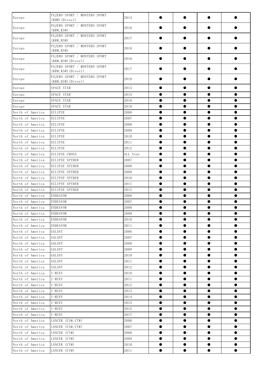| Europe           | PAJERO SPORT / MONTERO SPORT<br>$(KH#)$ (Diesel)      | 2014     |           |           | 0         |           |
|------------------|-------------------------------------------------------|----------|-----------|-----------|-----------|-----------|
| Europe           | PAJERO SPORT / MONTERO SPORT<br>(KR#, KS#)            | 2016     |           | ●         | ●         | ●         |
| Europe           | PAJERO SPORT / MONTERO SPORT<br>(KR#, KS#)            | 2017     |           |           | $\bullet$ |           |
| Europe           | PAJERO SPORT / MONTERO SPORT<br>(KR#, KS#)            | 2018     |           |           | $\bullet$ |           |
| Europe           | PAJERO SPORT / MONTERO SPORT<br>$(KR#, KS#)$ (Diesel) | 2016     |           |           | $\bullet$ | O         |
| Europe           | PAJERO SPORT / MONTERO SPORT<br>$(KR#, KS#)$ (Diesel) | 2017     |           |           | ●         | ●         |
| Europe           | PAJERO SPORT / MONTERO SPORT<br>(KR#, KS#)(Diseel)    | 2018     |           |           |           |           |
| Europe           | SPACE STAR                                            | 2013     | $\bullet$ |           | $\bullet$ | $\bullet$ |
| Europe           | SPACE STAR                                            | 2015     | ●         |           | $\bullet$ | $\bullet$ |
| Europe           | SPACE STAR                                            | 2016     | $\bullet$ | $\bullet$ | $\bullet$ | $\bullet$ |
| Europe           | SPACE STAR                                            | 2018     | $\bullet$ | $\bullet$ | $\bullet$ | $\bullet$ |
| North of America | <b>ECLIPSE</b>                                        | 2006     | $\bullet$ | $\bullet$ | $\bullet$ | $\bullet$ |
| North of America | <b>ECLIPSE</b>                                        | 2007     | $\bullet$ | $\bullet$ | $\bullet$ | $\bullet$ |
| North of America | <b>ECLIPSE</b>                                        | 2008     | $\bullet$ | $\bullet$ | $\bullet$ | $\bullet$ |
| North of America | <b>ECLIPSE</b>                                        | 2009     | $\bullet$ | $\bullet$ | $\bullet$ | $\bullet$ |
| North of America | <b>ECLIPSE</b>                                        | 2010     | $\bullet$ | $\bullet$ | $\bullet$ | $\bullet$ |
| North of America | <b>ECLIPSE</b>                                        | 2011     | $\bullet$ | $\bullet$ | $\bullet$ | $\bullet$ |
| North of America | <b>ECLIPSE</b>                                        | 2012     | $\bullet$ | $\bullet$ | $\bullet$ | $\bullet$ |
| North of America | <b>ECLIPSE CROSS</b>                                  | ALL Year | $\bullet$ | $\bullet$ | $\bullet$ | $\bullet$ |
| North of America | <b>ECLIPSE SPYDER</b>                                 | 2007     | $\bullet$ | $\bullet$ | $\bullet$ | $\bullet$ |
| North of America | <b>ECLIPSE SPYDER</b>                                 | 2008     | $\bullet$ | $\bullet$ | $\bullet$ | $\bullet$ |
| North of America | <b>ECLIPSE SPYDER</b>                                 | 2009     | $\bullet$ | $\bullet$ | $\bullet$ | $\bullet$ |
| North of America | ECLIPSE SPYDER                                        | 2010     | $\bullet$ | $\bullet$ | $\bullet$ | $\bullet$ |
| North of America | <b>ECLIPSE SPYDER</b>                                 | 2011     | $\bullet$ | $\bullet$ | $\bullet$ | $\bullet$ |
| North of America | <b>ECLIPSE SPYDER</b>                                 | 2012     | $\bullet$ | $\bullet$ | $\bullet$ | $\bullet$ |
| North of America | <b>ENDEAVOR</b>                                       | 2006     | $\bullet$ | $\bullet$ | $\bullet$ | $\bullet$ |
| North of America | <b>ENDEAVOR</b>                                       | 2007     | $\bullet$ | $\bullet$ | $\bullet$ | $\bullet$ |
| North of America | <b>ENDEAVOR</b>                                       | 2008     | $\bullet$ | $\bullet$ | $\bullet$ | $\bullet$ |
| North of America | <b>ENDEAVOR</b>                                       | 2009     | $\bullet$ | $\bullet$ | $\bullet$ | $\bullet$ |
| North of America | <b>ENDEAVOR</b>                                       | 2010     | $\bullet$ | $\bullet$ | $\bullet$ | $\bullet$ |
| North of America | <b>ENDEAVOR</b>                                       | 2011     | $\bullet$ | $\bullet$ | $\bullet$ | $\bullet$ |
| North of America | GALANT                                                | 2006     | $\bullet$ | $\bullet$ | $\bullet$ | $\bullet$ |
| North of America | GALANT                                                | 2007     | $\bullet$ | $\bullet$ | $\bullet$ | $\bullet$ |
| North of America | GALANT                                                | 2008     | $\bullet$ | $\bullet$ | $\bullet$ | $\bullet$ |
| North of America | GALANT                                                | 2009     | $\bullet$ | $\bullet$ | $\bullet$ | $\bullet$ |
| North of America | GALANT                                                | 2010     | $\bullet$ | $\bullet$ | $\bullet$ | $\bullet$ |
| North of America | GALANT                                                | 2011     | $\bullet$ | $\bullet$ | $\bullet$ | $\bullet$ |
| North of America | GALANT                                                | 2012     | $\bullet$ | $\bullet$ | $\bullet$ | $\bullet$ |
| North of America | $I-MIEV$                                              | 2010     | $\bullet$ | $\bullet$ | $\bullet$ | $\bullet$ |
| North of America | I-MIEV                                                | 2011     | $\bullet$ | $\bullet$ | $\bullet$ | $\bullet$ |
| North of America | $I-MIEV$                                              | 2012     | $\bullet$ | $\bullet$ | $\bullet$ | $\bullet$ |
| North of America | $I-MIEV$                                              | 2013     | $\bullet$ | $\bullet$ | $\bullet$ | $\bullet$ |
| North of America | $I-MIEV$                                              | 2014     | $\bullet$ | $\bullet$ | $\bullet$ | $\bullet$ |
| North of America | I-MIEV                                                | 2015     | $\bullet$ | $\bullet$ | $\bullet$ | $\bullet$ |
| North of America | $I-MIEV$                                              | 2015     | $\bullet$ | $\bullet$ | $\bullet$ | $\bullet$ |
| North of America | $I-MIEV$                                              | 2017     | $\bullet$ | $\bullet$ | $\bullet$ | $\bullet$ |
| North of America | LANCER (CS#, CT#)                                     | 2006     | $\bullet$ | $\bullet$ | $\bullet$ | $\bullet$ |
| North of America | LANCER (CS#, CT#)                                     | 2007     | $\bullet$ | $\bullet$ | $\bullet$ | $\bullet$ |
| North of America | LANCER (CY#)                                          | 2008     | $\bullet$ | $\bullet$ | $\bullet$ | $\bullet$ |
| North of America | LANCER (CY#)                                          | 2009     | $\bullet$ | $\bullet$ | $\bullet$ | $\bullet$ |
| North of America | LANCER (CY#)                                          | 2010     | $\bullet$ | $\bullet$ | $\bullet$ | $\bullet$ |
| North of America | LANCER (CY#)                                          | 2011     | $\bullet$ | $\bullet$ | $\bullet$ | $\bullet$ |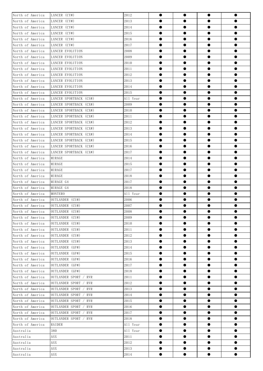| North of America | LANCER (CY#)             | 2012     | $\bullet$ | $\bullet$ | $\bullet$ | $\bullet$ |  |
|------------------|--------------------------|----------|-----------|-----------|-----------|-----------|--|
| North of America | LANCER (CY#)             | 2013     | $\bullet$ | $\bullet$ | $\bullet$ | $\bullet$ |  |
| North of America | LANCER (CY#)             | 2014     | $\bullet$ | $\bullet$ | $\bullet$ | $\bullet$ |  |
| North of America | LANCER (CY#)             | 2015     | $\bullet$ | $\bullet$ | $\bullet$ | $\bullet$ |  |
| North of America | LANCER (CY#)             | 2016     | $\bullet$ | $\bullet$ | $\bullet$ | $\bullet$ |  |
| North of America | LANCER (CY#)             | 2017     | $\bullet$ | $\bullet$ | $\bullet$ | $\bullet$ |  |
| North of America | LANCER EVOLUTION         | 2008     | $\bullet$ | $\bullet$ | $\bullet$ | $\bullet$ |  |
| North of America | LANCER EVOLUTION         | 2009     | $\bullet$ | $\bullet$ | $\bullet$ | $\bullet$ |  |
| North of America | <b>LANCER EVOLUTION</b>  | 2010     |           | $\bullet$ | $\bullet$ | $\bullet$ |  |
| North of America | LANCER EVOLUTION         | 2011     | $\bullet$ | $\bullet$ | $\bullet$ | $\bullet$ |  |
| North of America | LANCER EVOLUTION         | 2012     | $\bullet$ | $\bullet$ | $\bullet$ | $\bullet$ |  |
| North of America | LANCER EVOLUTION         | 2013     | $\bullet$ | $\bullet$ | $\bullet$ | $\bullet$ |  |
| North of America | LANCER EVOLUTION         | 2014     | $\bullet$ | $\bullet$ | $\bullet$ | $\bullet$ |  |
| North of America | LANCER EVOLUTION         | 2015     | $\bullet$ | $\bullet$ | $\bullet$ | $\bullet$ |  |
| North of America | LANCER SPORTBACK (CS#)   | All Year | $\bullet$ | $\bullet$ | $\bullet$ | $\bullet$ |  |
| North of America | LANCER SPORTBACK (CX#)   | 2009     | $\bullet$ | $\bullet$ | $\bullet$ | $\bullet$ |  |
| North of America | LANCER SPORTBACK (CX#)   | 2010     |           | $\bullet$ |           | $\bullet$ |  |
| North of America | LANCER SPORTBACK (CX#)   | 2011     | $\bullet$ | $\bullet$ | $\bullet$ | $\bullet$ |  |
| North of America | LANCER SPORTBACK (CX#)   | 2012     | $\bullet$ | $\bullet$ | $\bullet$ | $\bullet$ |  |
| North of America | LANCER SPORTBACK (CX#)   | 2013     | $\bullet$ | $\bullet$ | $\bullet$ | $\bullet$ |  |
| North of America | LANCER SPORTBACK (CX#)   | 2014     | $\bullet$ | $\bullet$ | $\bullet$ | $\bullet$ |  |
| North of America | LANCER SPORTBACK (CX#)   | 2015     | $\bullet$ | $\bullet$ | $\bullet$ | $\bullet$ |  |
| North of America | LANCER SPORTBACK (CX#)   | 2016     | $\bullet$ | $\bullet$ | $\bullet$ | $\bullet$ |  |
| North of America | LANCER SPORTBACK (CX#)   | 2017     | ●         | $\bullet$ | $\bullet$ | $\bullet$ |  |
| North of America | MIRAGE                   | 2014     |           | $\bullet$ |           | $\bullet$ |  |
| North of America | MIRAGE                   | 2015     | $\bullet$ | $\bullet$ | $\bullet$ | $\bullet$ |  |
| North of America | MIRAGE                   | 2017     | $\bullet$ | $\bullet$ | $\bullet$ | $\bullet$ |  |
| North of America | MIRAGE                   | 2018     | $\bullet$ | $\bullet$ | $\bullet$ | $\bullet$ |  |
| North of America | MIRAGE G4                | 2017     | $\bullet$ | $\bullet$ | $\bullet$ | $\bullet$ |  |
| North of America | MIRAGE G4                | 2018     | $\bullet$ | $\bullet$ | $\bullet$ | $\bullet$ |  |
| North of America | MONTERO                  | All Year | $\bullet$ | $\bullet$ | $\bullet$ | $\bullet$ |  |
| North of America | OUTLANDER (CU#)          | 2006     | ●         |           | 0         | $\bullet$ |  |
| North of America | OUTLANDER (CU#)          | 2007     | ●         | $\bullet$ | $\bullet$ | $\bullet$ |  |
| North of America | OUTLANDER (CU#)          | 2008     |           |           | $\bullet$ |           |  |
| North of America | OUTLANDER (CU#)          | 2009     | ●         | $\bullet$ | $\bullet$ | $\bullet$ |  |
| North of America | OUTLANDER (CU#)          | 2010     | ●         | $\bullet$ | $\bullet$ | $\bullet$ |  |
| North of America | OUTLANDER (CU#)          | 2011     | $\bullet$ | $\bullet$ | $\bullet$ | $\bullet$ |  |
| North of America | OUTLANDER (CU#)          | 2012     | $\bullet$ | $\bullet$ | $\bullet$ | $\bullet$ |  |
| North of America | OUTLANDER (CU#)          | 2013     | $\bullet$ | $\bullet$ | $\bullet$ | $\bullet$ |  |
| North of America | OUTLANDER (GF#)          | 2014     | $\bullet$ | $\bullet$ | $\bullet$ | $\bullet$ |  |
| North of America | OUTLANDER (GF#)          | 2015     | $\bullet$ | $\bullet$ | $\bullet$ | $\bullet$ |  |
| North of America | OUTLANDER (GF#)          | 2016     | $\bullet$ | $\bullet$ | $\bullet$ | $\bullet$ |  |
| North of America | OUTLANDER (GF#)          | 2017     | $\bullet$ | $\bullet$ | $\bullet$ | $\bullet$ |  |
| North of America | OUTLANDER (GF#)          | 2018     | $\bullet$ | $\bullet$ | $\bullet$ | $\bullet$ |  |
| North of America | OUTLANDER SPORT / RVR    | 2011     | $\bullet$ | $\bullet$ | $\bullet$ | $\bullet$ |  |
| North of America | OUTLANDER SPORT<br>/ RVR | 2012     | $\bullet$ | $\bullet$ | $\bullet$ | $\bullet$ |  |
| North of America | OUTLANDER SPORT<br>/ RVR | 2013     | $\bullet$ | $\bullet$ | $\bullet$ | $\bullet$ |  |
| North of America | OUTLANDER SPORT / RVR    | 2014     | $\bullet$ | $\bullet$ | $\bullet$ | $\bullet$ |  |
| North of America | OUTLANDER SPORT / RVR    | 2015     | $\bullet$ | $\bullet$ | $\bullet$ | $\bullet$ |  |
| North of America | OUTLANDER SPORT / RVR    | 2016     | $\bullet$ | $\bullet$ | $\bullet$ | $\bullet$ |  |
| North of America | OUTLANDER SPORT / RVR    | 2017     | $\bullet$ | $\bullet$ | $\bullet$ | $\bullet$ |  |
| North of America | OUTLANDER SPORT / RVR    | 2018     | $\bullet$ | $\bullet$ | $\bullet$ | $\bullet$ |  |
| North of America | RAIDER                   | All Year | $\bullet$ |           | $\bullet$ | $\bullet$ |  |
| Australia        | 380                      | All Year | $\bullet$ | $\bullet$ | $\bullet$ | $\bullet$ |  |
| Australia        | <b>ASX</b>               | 2011     | $\bullet$ | $\bullet$ | $\bullet$ | $\bullet$ |  |
| Australia        | ASX                      | 2012     | $\bullet$ | $\bullet$ | $\bullet$ | $\bullet$ |  |
| Australia        | ASX                      | 2013     | $\bullet$ | $\bullet$ | $\bullet$ | $\bullet$ |  |
| Australia        | ASX                      | 2014     | $\bullet$ | $\bullet$ | $\bullet$ | $\bullet$ |  |
|                  |                          |          |           |           |           |           |  |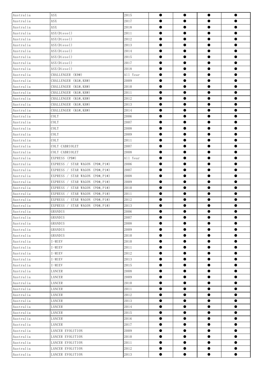| Australia | ASX                                  | 2015     | $\bullet$ | $\bullet$ | $\bullet$ | $\bullet$ |
|-----------|--------------------------------------|----------|-----------|-----------|-----------|-----------|
| Australia | ASX                                  | 2017     | $\bullet$ | $\bullet$ | $\bullet$ | $\bullet$ |
| Australia | ASX                                  | 2018     | $\bullet$ | $\bullet$ | $\bullet$ | $\bullet$ |
| Australia | ASX(Diesel)                          | 2011     | $\bullet$ | $\bullet$ | $\bullet$ | $\bullet$ |
| Australia | ASX(Diesel)                          | 2012     | $\bullet$ | $\bullet$ | $\bullet$ | $\bullet$ |
| Australia | ASX(Diesel)                          | 2013     | $\bullet$ | $\bullet$ | $\bullet$ | $\bullet$ |
| Australia | ASX(Diesel)                          | 2014     | $\bullet$ | $\bullet$ | $\bullet$ | $\bullet$ |
| Australia | ASX(Diesel)                          | 2015     | $\bullet$ | $\bullet$ | $\bullet$ | $\bullet$ |
| Australia | ASX(Diesel)                          | 2017     | $\bullet$ | $\bullet$ | $\bullet$ | $\bullet$ |
| Australia | ASX(Diesel)                          | 2018     | $\bullet$ | $\bullet$ | $\bullet$ | $\bullet$ |
| Australia | CHALLENGER (K9#)                     | All Year | $\bullet$ | $\bullet$ | $\bullet$ | $\bullet$ |
| Australia | CHALLENGER (KG#, KH#)                | 2009     | $\bullet$ | $\bullet$ | $\bullet$ | $\bullet$ |
| Australia | CHALLENGER (KG#, KH#)                | 2010     | $\bullet$ | $\bullet$ | $\bullet$ | $\bullet$ |
| Australia | CHALLENGER (KG#, KH#)                | 2011     | $\bullet$ | $\bullet$ | $\bullet$ | $\bullet$ |
| Australia | CHALLENGER (KG#, KH#)                | 2012     | $\bullet$ | $\bullet$ | $\bullet$ | $\bullet$ |
| Australia | CHALLENGER (KG#, KH#)                | 2013     | $\bullet$ | $\bullet$ | $\bullet$ | $\bullet$ |
| Australia | CHALLENGER (KG#, KH#)                | 2014     | $\bullet$ | $\bullet$ | $\bullet$ | $\bullet$ |
| Australia | COLT                                 | 2006     | $\bullet$ | $\bullet$ | $\bullet$ | $\bullet$ |
| Australia | COLT                                 | 2007     | $\bullet$ | $\bullet$ | $\bullet$ | $\bullet$ |
| Australia | COLT                                 | 2008     | $\bullet$ | $\bullet$ | $\bullet$ | $\bullet$ |
| Australia | COLT                                 | 2009     | $\bullet$ | $\bullet$ | $\bullet$ | $\bullet$ |
| Australia | COLT                                 | 2011     | $\bullet$ | $\bullet$ | $\bullet$ | $\bullet$ |
| Australia | COLT CABRIOLET                       | 2007     | $\bullet$ | $\bullet$ | $\bullet$ | $\bullet$ |
| Australia | COLT CABRIOLET                       | 2008     | $\bullet$ | $\bullet$ | $\bullet$ | $\bullet$ |
| Australia | EXPRESS (PB#)                        | All Year | $\bullet$ | $\bullet$ | $\bullet$ | $\bullet$ |
| Australia | EXPRESS / STAR WAGON (PO#, P1#)      | 2006     | $\bullet$ | $\bullet$ | $\bullet$ | $\bullet$ |
| Australia | STAR WAGON (PO#, P1#)<br>EXPRESS /   | 2007     | $\bullet$ | $\bullet$ | $\bullet$ | $\bullet$ |
| Australia | / STAR WAGON $(P0#, P1#)$<br>EXPRESS | 2008     | $\bullet$ | $\bullet$ | $\bullet$ | $\bullet$ |
| Australia | EXPRESS / STAR WAGON (PO#, P1#)      | 2009     | $\bullet$ | $\bullet$ | $\bullet$ | $\bullet$ |
| Australia | EXPRESS / STAR WAGON (PO#, P1#)      | 2010     | $\bullet$ | $\bullet$ | $\bullet$ | $\bullet$ |
| Australia | EXPRESS /<br>STAR WAGON (PO#, P1#)   | 2011     | $\bullet$ | $\bullet$ | $\bullet$ | $\bullet$ |
| Australia | STAR WAGON (PO#, P1#)<br>EXPRESS     | 2012     | ●         | $\bullet$ | $\bullet$ | $\bullet$ |
| Australia | EXPRESS / STAR WAGON (PO#, P1#)      | 2013     | $\bullet$ | $\bullet$ | $\bullet$ | $\bullet$ |
| Australia | GRANDIS                              | 2006     | $\bullet$ | $\bullet$ | $\bullet$ |           |
| Australia | GRANDIS                              | 2007     | $\bullet$ | $\bullet$ | $\bullet$ | $\bullet$ |
| Australia | GRANDIS                              | 2008     | $\bullet$ | $\bullet$ | $\bullet$ | $\bullet$ |
| Australia | GRANDIS                              | 2009     | $\bullet$ | $\bullet$ | $\bullet$ | $\bullet$ |
| Australia | GRANDIS                              | 2010     | $\bullet$ | $\bullet$ | $\bullet$ | $\bullet$ |
| Australia | I-MIEV                               | 2010     | $\bullet$ | $\bullet$ | $\bullet$ | $\bullet$ |
| Australia | I-MIEV                               | 2011     | $\bullet$ | $\bullet$ | $\bullet$ | $\bullet$ |
| Australia | I-MIEV                               | 2012     | $\bullet$ | $\bullet$ | $\bullet$ | $\bullet$ |
| Australia | $I-MIEV$                             | 2013     | $\bullet$ | $\bullet$ | $\bullet$ | $\bullet$ |
| Australia | $I-MIEV$                             | $2015\,$ | $\bullet$ | $\bullet$ | $\bullet$ | $\bullet$ |
| Australia | LANCER                               | 2008     | $\bullet$ | $\bullet$ | $\bullet$ | $\bullet$ |
| Australia | LANCER                               | 2009     | $\bullet$ | $\bullet$ | $\bullet$ | $\bullet$ |
| Australia | LANCER                               | 2010     | $\bullet$ | $\bullet$ | $\bullet$ | $\bullet$ |
| Australia | LANCER                               | 2011     | $\bullet$ | $\bullet$ | $\bullet$ | $\bullet$ |
| Australia | LANCER                               | 2012     | $\bullet$ | $\bullet$ | $\bullet$ | $\bullet$ |
| Australia | LANCER                               | 2013     | $\bullet$ | $\bullet$ | $\bullet$ | $\bullet$ |
| Australia | LANCER                               | 2014     | $\bullet$ | $\bullet$ | $\bullet$ | $\bullet$ |
| Australia | LANCER                               | $2015\,$ | $\bullet$ | $\bullet$ | $\bullet$ | $\bullet$ |
| Australia | LANCER                               | 2016     | $\bullet$ | $\bullet$ | $\bullet$ | $\bullet$ |
| Australia | LANCER                               | 2017     | $\bullet$ | $\bullet$ | $\bullet$ | $\bullet$ |
| Australia | LANCER EVOLUTION                     | 2009     | $\bullet$ | $\bullet$ | $\bullet$ | $\bullet$ |
| Australia | LANCER EVOLUTION                     | 2010     | $\bullet$ | $\bullet$ | $\bullet$ | $\bullet$ |
| Australia | LANCER EVOLUTION                     | 2011     | $\bullet$ | $\bullet$ | $\bullet$ | $\bullet$ |
| Australia | LANCER EVOLUTION                     | 2012     | $\bullet$ | $\bullet$ | $\bullet$ | $\bullet$ |
| Australia | LANCER EVOLUTION                     | 2013     | $\bullet$ | $\bullet$ | $\bullet$ | $\bullet$ |
|           |                                      |          |           |           |           |           |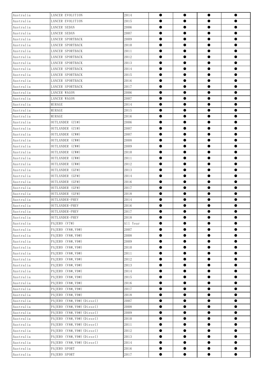| Australia | LANCER EVOLUTION           | 2014     | $\bullet$ | $\bullet$ | $\bullet$ | $\bullet$ |
|-----------|----------------------------|----------|-----------|-----------|-----------|-----------|
| Australia | LANCER EVOLUTION           | 2015     | $\bullet$ | $\bullet$ | $\bullet$ | $\bullet$ |
| Australia | <b>LANCER SEDAN</b>        | 2006     | $\bullet$ | $\bullet$ | $\bullet$ | $\bullet$ |
| Australia | LANCER SEDAN               | 2007     | $\bullet$ | $\bullet$ | $\bullet$ | $\bullet$ |
| Australia | LANCER SPORTBACK           | 2009     | $\bullet$ | $\bullet$ | $\bullet$ | $\bullet$ |
| Australia | LANCER SPORTBACK           | 2010     | $\bullet$ | $\bullet$ | $\bullet$ | $\bullet$ |
| Australia | LANCER SPORTBACK           | 2011     | $\bullet$ | $\bullet$ | $\bullet$ | $\bullet$ |
| Australia | LANCER SPORTBACK           | 2012     | $\bullet$ | $\bullet$ | $\bullet$ | $\bullet$ |
| Australia | <b>LANCER SPORTBACK</b>    | 2013     | 0         | $\bullet$ | $\bullet$ | $\bullet$ |
| Australia | <b>LANCER SPORTBACK</b>    | 2014     | $\bullet$ | $\bullet$ | $\bullet$ | $\bullet$ |
| Australia | LANCER SPORTBACK           | 2015     | $\bullet$ | $\bullet$ | $\bullet$ | $\bullet$ |
| Australia | LANCER SPORTBACK           | 2016     | $\bullet$ | $\bullet$ | $\bullet$ | $\bullet$ |
| Australia | LANCER SPORTBACK           | 2017     | $\bullet$ | $\bullet$ | $\bullet$ | $\bullet$ |
| Australia | LANCER WAGON               | 2006     | $\bullet$ | $\bullet$ | $\bullet$ | $\bullet$ |
| Australia | LANCER WAGON               | 2007     | 0         | $\bullet$ | $\bullet$ | $\bullet$ |
| Australia | MIRAGE                     | 2014     | $\bullet$ | $\bullet$ | $\bullet$ | $\bullet$ |
| Australia | MIRAGE                     | 2015     | 0         | $\bullet$ | $\bullet$ | $\bullet$ |
| Australia | MIRAGE                     | 2016     | $\bullet$ | $\bullet$ | $\bullet$ | $\bullet$ |
| Australia | OUTLANDER (CU#)            | 2006     | $\bullet$ | $\bullet$ | $\bullet$ | $\bullet$ |
| Australia | OUTLANDER (CU#)            | 2007     | $\bullet$ | $\bullet$ | $\bullet$ | $\bullet$ |
| Australia | OUTLANDER (CW#)            | 2007     | $\bullet$ | $\bullet$ | $\bullet$ | $\bullet$ |
| Australia | OUTLANDER (CW#)            | 2008     | $\bullet$ | $\bullet$ | $\bullet$ | $\bullet$ |
| Australia | OUTLANDER (CW#)            | 2009     | 0         | $\bullet$ | $\bullet$ | $\bullet$ |
| Australia | OUTLANDER (CW#)            | 2010     | $\bullet$ | $\bullet$ | $\bullet$ | $\bullet$ |
| Australia | OUTLANDER (CW#)            | 2011     | $\bullet$ | $\bullet$ | $\bullet$ | $\bullet$ |
| Australia | OUTLANDER (CW#)            | 2012     | $\bullet$ | $\bullet$ | $\bullet$ | $\bullet$ |
| Australia | OUTLANDER (GF#)            | 2013     | $\bullet$ | $\bullet$ | $\bullet$ | $\bullet$ |
| Australia | OUTLANDER (GF#)            | 2014     | $\bullet$ | $\bullet$ | $\bullet$ | $\bullet$ |
| Australia | OUTLANDER (GF#)            | 2016     | $\bullet$ | $\bullet$ | $\bullet$ | $\bullet$ |
| Australia | OUTLANDER (GF#)            | 2017     | $\bullet$ | $\bullet$ | $\bullet$ | $\bullet$ |
| Australia | OUTLANDER (GF#)            | 2018     | 0         | $\bullet$ | $\bullet$ | $\bullet$ |
| Australia | OUTLANDER-PHEV             | 2014     | ●         | $\bullet$ | $\bullet$ | $\bullet$ |
| Australia | OUTLANDER-PHEV             | 2016     |           | $\bullet$ | $\bullet$ | $\bullet$ |
| Australia | OUTLANDER-PHEV             | 2017     |           |           | $\bullet$ |           |
| Australia | OUTLANDER-PHEV             | 2018     | $\bullet$ | $\bullet$ | $\bullet$ | $\bullet$ |
| Australia | PAJERO (V7#)               | All Year | $\bullet$ | $\bullet$ | $\bullet$ | $\bullet$ |
| Australia | PAJERO (V8#, V9#)          | 2007     | $\bullet$ | $\bullet$ | $\bullet$ | $\bullet$ |
| Australia | PAJERO (V8#, V9#)          | 2008     | $\bullet$ | $\bullet$ | $\bullet$ | $\bullet$ |
| Australia | PAJERO $(V8#, V9#)$        | 2009     | $\bullet$ | $\bullet$ | $\bullet$ | $\bullet$ |
| Australia | PAJERO (V8#, V9#)          | 2010     | $\bullet$ | $\bullet$ | $\bullet$ | $\bullet$ |
| Australia | PAJERO $(V8#, V9#)$        | 2011     | $\bullet$ | $\bullet$ | $\bullet$ | $\bullet$ |
| Australia | PAJERO $(V8#, V9#)$        | 2012     | $\bullet$ | $\bullet$ | $\bullet$ | $\bullet$ |
| Australia | PAJERO (V8#, V9#)          | 2013     | $\bullet$ | $\bullet$ | $\bullet$ | $\bullet$ |
| Australia | PAJERO (V8#, V9#)          | 2014     | $\bullet$ | $\bullet$ | $\bullet$ | $\bullet$ |
| Australia | PAJERO (V8#, V9#)          | 2015     | $\bullet$ | $\bullet$ | $\bullet$ | $\bullet$ |
| Australia | PAJERO (V8#, V9#)          | 2016     | $\bullet$ | $\bullet$ | $\bullet$ | $\bullet$ |
| Australia | PAJERO (V8#, V9#)          | 2017     | $\bullet$ | $\bullet$ | $\bullet$ | $\bullet$ |
| Australia | PAJERO (V8#, V9#)          | 2018     | $\bullet$ | $\bullet$ | $\bullet$ | $\bullet$ |
| Australia | PAJERO (V8#, V9#) (Diesel) | 2007     | $\bullet$ | $\bullet$ | $\bullet$ | $\bullet$ |
| Australia | PAJERO (V8#, V9#) (Diesel) | 2008     | $\bullet$ | $\bullet$ | $\bullet$ | $\bullet$ |
| Australia | PAJERO (V8#, V9#) (Diesel) | 2009     | $\bullet$ | $\bullet$ | $\bullet$ | $\bullet$ |
| Australia | PAJERO (V8#, V9#) (Diesel) | 2010     | $\bullet$ | $\bullet$ | $\bullet$ | $\bullet$ |
| Australia | PAJERO (V8#, V9#) (Diesel) | 2011     | $\bullet$ | $\bullet$ | $\bullet$ | $\bullet$ |
| Australia | PAJERO (V8#, V9#) (Diesel) | 2012     | $\bullet$ | $\bullet$ | $\bullet$ | $\bullet$ |
| Australia | PAJERO (V8#, V9#) (Diesel) | 2013     | $\bullet$ | $\bullet$ | $\bullet$ | $\bullet$ |
| Australia | PAJERO (V8#, V9#) (Diesel) | 2014     | $\bullet$ | $\bullet$ | $\bullet$ | $\bullet$ |
| Australia | PAJERO SPORT               | 2016     | $\bullet$ | $\bullet$ | $\bullet$ | $\bullet$ |
| Australia | PAJERO SPORT               | 2017     | $\bullet$ | $\bullet$ | $\bullet$ | $\bullet$ |
|           |                            |          |           |           |           |           |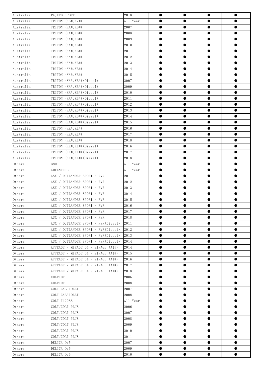| Australia                | PAJERO SPORT                         | 2018     | $\bullet$ | $\bullet$ | $\bullet$ | $\bullet$ |
|--------------------------|--------------------------------------|----------|-----------|-----------|-----------|-----------|
| Australia                | TRITON (K6#, K7#)                    | All Year | $\bullet$ | $\bullet$ | $\bullet$ | $\bullet$ |
| Australia                | TRITON (KA#, KB#)                    | 2007     | $\bullet$ | $\bullet$ | $\bullet$ | $\bullet$ |
| Australia                | TRITON (KA#, KB#)                    | 2008     | $\bullet$ | $\bullet$ | $\bullet$ | $\bullet$ |
| Australia                | TRITON (KA#, KB#)                    | 2009     | $\bullet$ | $\bullet$ | $\bullet$ | $\bullet$ |
| Australia                | TRITON (KA#, KB#)                    | 2010     | $\bullet$ | $\bullet$ | $\bullet$ | $\bullet$ |
| Australia                | TRITON (KA#, KB#)                    | 2011     | $\bullet$ | $\bullet$ | $\bullet$ | $\bullet$ |
| Australia                | TRITON (KA#, KB#)                    | 2012     | $\bullet$ | $\bullet$ | $\bullet$ | $\bullet$ |
| Australia                | TRITON (KA#, KB#)                    | 2013     | $\bullet$ | $\bullet$ | $\bullet$ | $\bullet$ |
| Australia                | TRITON (KA#, KB#)                    | 2014     | $\bullet$ | $\bullet$ | $\bullet$ | $\bullet$ |
| Australia                | TRITON (KA#, KB#)                    | 2015     | $\bullet$ | $\bullet$ | $\bullet$ | $\bullet$ |
| Australia                | TRITON (KA#, KB#) (Diesel)           | 2007     | $\bullet$ | $\bullet$ | $\bullet$ | $\bullet$ |
| Australia                | TRITON (KA#, KB#) (Diesel)           | 2009     | $\bullet$ | $\bullet$ | $\bullet$ | $\bullet$ |
| Australia                | TRITON (KA#, KB#) (Diesel)           | 2010     | $\bullet$ | $\bullet$ | $\bullet$ | $\bullet$ |
| Australia                | TRITON (KA#, KB#) (Diesel)           | 2011     | $\bullet$ | $\bullet$ | $\bullet$ | $\bullet$ |
| Australia                | TRITON (KA#,KB#)(Diesel)             | 2012     | $\bullet$ | $\bullet$ | $\bullet$ | $\bullet$ |
| Australia                | TRITON (KA#, KB#) (Diesel)           | 2013     | $\bullet$ | $\bullet$ | $\bullet$ | $\bullet$ |
| Australia                | TRITON (KA#, KB#) (Diesel)           | 2014     | $\bullet$ | $\bullet$ | $\bullet$ | $\bullet$ |
| Australia                | TRITON (KA#, KB#) (Diesel)           | 2015     | $\bullet$ | $\bullet$ | $\bullet$ | $\bullet$ |
| Australia                | TRITON (KK#, KL#)                    | 2016     | $\bullet$ | $\bullet$ | $\bullet$ | $\bullet$ |
| Australia                | TRITON (KK#, KL#)                    | 2017     | $\bullet$ | $\bullet$ | $\bullet$ | $\bullet$ |
| Australia                | TRITON (KK#, KL#)                    | 2018     | $\bullet$ | $\bullet$ | $\bullet$ | $\bullet$ |
| Australia                | TRITON (KK#, KL#) (Diesel)           | 2016     | $\bullet$ | $\bullet$ | $\bullet$ | $\bullet$ |
| Australia                | TRITON (KK#,KL#)(Diesel)             | 2017     | $\bullet$ | $\bullet$ | $\bullet$ | $\bullet$ |
| Australia                | TRITON (KK#, KL#) (Diesel)           | 2018     | $\bullet$ | $\bullet$ | $\bullet$ | $\bullet$ |
| $0{\rm\thinspace thers}$ | 380                                  | All Year | $\bullet$ | $\bullet$ | $\bullet$ | $\bullet$ |
| Others                   | ADVENTURE                            | All Year | $\bullet$ | $\bullet$ | $\bullet$ | $\bullet$ |
| Others                   | ASX / OUTLANDER SPORT / RVR          | 2011     | $\bullet$ | $\bullet$ | $\bullet$ | $\bullet$ |
| Others                   | ASX / OUTLANDER SPORT / RVR          | 2012     | $\bullet$ | $\bullet$ | $\bullet$ | $\bullet$ |
| Others                   | ASX / OUTLANDER SPORT / RVR          | 2013     | $\bullet$ | $\bullet$ | $\bullet$ | $\bullet$ |
| $0{\rm\thinspace thers}$ | ASX / OUTLANDER SPORT / RVR          | 2014     |           | $\bullet$ | $\bullet$ | $\bullet$ |
| Others                   | ASX / OUTLANDER SPORT / RVR          | 2015     | ●         |           | $\bullet$ | $\bullet$ |
| Others                   | ASX / OUTLANDER SPORT / RVR          | 2016     |           | $\bullet$ | $\bullet$ | $\bullet$ |
| Others                   | ASX / OUTLANDER SPORT / RVR          | 2017     | $\bullet$ |           | $\bullet$ |           |
| Others                   | ASX / OUTLANDER SPORT / RVR          | 2018     | ●         | $\bullet$ | $\bullet$ | $\bullet$ |
| Others                   | ASX / OUTLANDER SPORT / RVR(Diesel)  | 2011     | ●         | $\bullet$ | $\bullet$ | $\bullet$ |
| Others                   | ASX / OUTLANDER SPORT / RVR (Diesel) | 2012     | ●         | $\bullet$ | $\bullet$ | $\bullet$ |
| Others                   | ASX / OUTLANDER SPORT / RVR (Diesel) | 2013     | $\bullet$ | $\bullet$ | $\bullet$ | $\bullet$ |
| $0{\rm\thinspace thers}$ | ASX / OUTLANDER SPORT / RVR (Diesel) | 2014     | $\bullet$ | $\bullet$ | $\bullet$ | $\bullet$ |
| Others                   | ATTRAGE / MIRAGE G4 / MIRAGE (A1#)   | 2014     | $\bullet$ | $\bullet$ | $\bullet$ | $\bullet$ |
| Others                   | ATTRAGE / MIRAGE G4 / MIRAGE (A1#)   | 2015     | $\bullet$ | $\bullet$ | $\bullet$ | $\bullet$ |
| Others                   | ATTRAGE / MIRAGE G4 / MIRAGE (A1#)   | 2016     | $\bullet$ | $\bullet$ | $\bullet$ | $\bullet$ |
| Others                   | ATTRAGE / MIRAGE G4 / MIRAGE (A1#)   | 2017     | ●         | $\bullet$ | $\bullet$ | $\bullet$ |
| Others                   | ATTRAGE / MIRAGE G4 / MIRAGE (A1#)   | 2018     | ●         |           | $\bullet$ | $\bullet$ |
| Others                   | CHARIOT                              | 2006     |           | $\bullet$ | $\bullet$ | $\bullet$ |
| Others                   | CHARIOT                              | 2008     | $\bullet$ | $\bullet$ | $\bullet$ | $\bullet$ |
| Others                   | COLT CABRIOLET                       | 2007     | $\bullet$ | $\bullet$ | $\bullet$ | $\bullet$ |
| $0$ thers                | COLT CABRIOLET                       | 2008     | $\bullet$ | $\bullet$ | $\bullet$ | $\bullet$ |
| Others                   | COLT T120SS                          | All Year | $\bullet$ | $\bullet$ | $\bullet$ | $\bullet$ |
| $0$ thers                | COLT/COLT PLUS                       | 2006     | $\bullet$ | $\bullet$ | $\bullet$ | $\bullet$ |
| Others                   | COLT/COLT PLUS                       | 2007     | $\bullet$ | $\bullet$ | $\bullet$ | $\bullet$ |
| Others                   | COLT/COLT PLUS                       | 2008     | $\bullet$ |           | $\bullet$ | $\bullet$ |
| $0$ thers                | COLT/COLT PLUS                       | 2009     |           | $\bullet$ | 0         | $\bullet$ |
| Others                   | COLT/COLT PLUS                       | 2010     | $\bullet$ | $\bullet$ | $\bullet$ | $\bullet$ |
| Others                   | COLT/COLT PLUS                       | 2011     | $\bullet$ | $\bullet$ | $\bullet$ | $\bullet$ |
| $0$ thers                | DELICA D:5                           | 2007     | $\bullet$ | $\bullet$ | $\bullet$ | $\bullet$ |
| Others                   | DELICA D:5                           | 2009     | $\bullet$ | $\bullet$ | $\bullet$ | $\bullet$ |
| Others                   | DELICA D:5                           | 2010     | $\bullet$ | $\bullet$ | $\bullet$ | $\bullet$ |
|                          |                                      |          |           |           |           |           |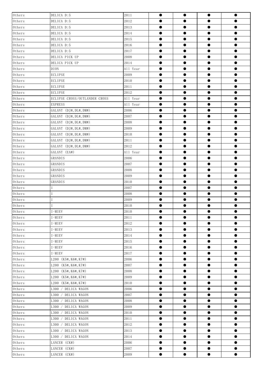| Others                   | DELICA D:5                    | 2011     | $\bullet$ | $\bullet$ | $\bullet$ | $\bullet$ |
|--------------------------|-------------------------------|----------|-----------|-----------|-----------|-----------|
| $0{\rm\thinspace thers}$ | DELICA D:5                    | 2012     | $\bullet$ | $\bullet$ | $\bullet$ | $\bullet$ |
| $0{\rm\thinspace thers}$ | DELICA D:5                    | 2013     | $\bullet$ | $\bullet$ | $\bullet$ | $\bullet$ |
| Others                   | DELICA D:5                    | 2014     | $\bullet$ | $\bullet$ | $\bullet$ | $\bullet$ |
| $0$ thers                | DELICA D:5                    | 2015     | $\bullet$ | $\bullet$ | $\bullet$ | $\bullet$ |
| Others                   | DELICA D:5                    | 2016     | $\bullet$ | $\bullet$ | $\bullet$ | $\bullet$ |
| $0{\rm\thinspace thers}$ | DELICA D:5                    | 2017     | $\bullet$ | $\bullet$ | $\bullet$ | $\bullet$ |
| Others                   | DELICA PICK UP                | 2008     | $\bullet$ | $\bullet$ | $\bullet$ | $\bullet$ |
| $0$ thers                | DELICA PICK UP                | 2014     |           | $\bullet$ | $\bullet$ | $\bullet$ |
| $0{\rm\thinspace thers}$ | <b>DION</b>                   | All Year | $\bullet$ | $\bullet$ | $\bullet$ | $\bullet$ |
| $0{\rm\thinspace thers}$ | <b>ECLIPSE</b>                | 2009     | $\bullet$ | $\bullet$ | $\bullet$ | $\bullet$ |
| Others                   | <b>ECLIPSE</b>                | 2010     | $\bullet$ | $\bullet$ | $\bullet$ | $\bullet$ |
| $0{\rm\thinspace thers}$ | <b>ECLIPSE</b>                | 2011     | $\bullet$ | $\bullet$ | $\bullet$ | $\bullet$ |
| Others                   | <b>ECLIPSE</b>                | 2012     | $\bullet$ | $\bullet$ | $\bullet$ | $\bullet$ |
| $0{\rm\thinspace thers}$ | ECLIPSE CROSS/OUTLANDER CROSS | All Year | $\bullet$ | $\bullet$ | $\bullet$ | $\bullet$ |
| Others                   | <b>EXPRESS</b>                | All Year | $\bullet$ | $\bullet$ | $\bullet$ | $\bullet$ |
| $0$ thers                | GALANT (DJ#, DL#, DM#)        | 2006     |           | $\bullet$ | $\bullet$ | $\bullet$ |
| $0{\rm\thinspace thers}$ | GALANT (DJ#, DL#, DM#)        | 2007     | $\bullet$ | $\bullet$ | $\bullet$ | $\bullet$ |
| $0{\rm\thinspace thers}$ | GALANT (DJ#, DL#, DM#)        | 2008     |           | $\bullet$ | $\bullet$ | $\bullet$ |
| Others                   | GALANT (DJ#, DL#, DM#)        | 2009     | $\bullet$ | $\bullet$ | $\bullet$ | $\bullet$ |
| $0{\rm\thinspace thers}$ | GALANT (DJ#, DL#, DM#)        | 2010     | $\bullet$ | $\bullet$ | $\bullet$ | $\bullet$ |
| $0{\rm\thinspace thers}$ | GALANT (DJ#, DL#, DM#)        | 2011     | $\bullet$ | $\bullet$ | $\bullet$ | $\bullet$ |
| $0$ thers                | GALANT (DJ#, DL#, DM#)        | 2012     |           | $\bullet$ | $\bullet$ | $\bullet$ |
| Others                   | GALANT (EA#)                  | All Year | $\bullet$ | $\bullet$ | $\bullet$ | $\bullet$ |
| $0$ thers                | GRANDIS                       | 2006     | $\bullet$ | $\bullet$ | $\bullet$ | $\bullet$ |
| $0{\rm\thinspace thers}$ | GRANDIS                       | 2007     | $\bullet$ | $\bullet$ | $\bullet$ | $\bullet$ |
| $0{\rm\thinspace thers}$ | GRANDIS                       | 2008     | $\bullet$ | $\bullet$ | $\bullet$ | $\bullet$ |
| $0{\rm\thinspace thers}$ | GRANDIS                       | 2009     | $\bullet$ | $\bullet$ | $\bullet$ | $\bullet$ |
| $0{\rm\thinspace thers}$ | GRANDIS                       | 2010     | $\bullet$ | $\bullet$ | $\bullet$ | $\bullet$ |
| $0{\rm\thinspace thers}$ |                               | 2007     | $\bullet$ | $\bullet$ | $\bullet$ | $\bullet$ |
| $0{\rm\thinspace thers}$ |                               | 2008     | ●         | $\bullet$ | $\bullet$ | $\bullet$ |
| Others                   |                               | 2009     | ●         |           | $\bullet$ | $\bullet$ |
| $0$ thers                |                               | 2010     |           | $\bullet$ | $\bullet$ | $\bullet$ |
| $0$ thers                | $I-MIEV$                      | 2010     |           |           | $\bullet$ |           |
| Others                   | I-MIEV                        | 2011     | $\bullet$ | $\bullet$ | $\bullet$ | $\bullet$ |
| Others                   | I-MIEV                        | 2012     | $\bullet$ | $\bullet$ | $\bullet$ | $\bullet$ |
| Others                   | I-MIEV                        | 2013     | $\bullet$ | $\bullet$ | $\bullet$ | $\bullet$ |
| $0{\rm\thinspace thers}$ | I-MIEV                        | 2014     | $\bullet$ | $\bullet$ | $\bullet$ | $\bullet$ |
| $0$ thers                | I-MIEV                        | $2015\,$ | $\bullet$ | $\bullet$ | $\bullet$ | $\bullet$ |
| $0{\rm\thinspace thers}$ | I-MIEV                        | 2016     | $\bullet$ | $\bullet$ | $\bullet$ | $\bullet$ |
| $0$ thers                | $I-MIEV$                      | 2017     | $\bullet$ | $\bullet$ | $\bullet$ | $\bullet$ |
| Others                   | L200 (K5#, K6#, K7#)          | 2006     | $\bullet$ | $\bullet$ | $\bullet$ | $\bullet$ |
| $0{\rm\thinspace thers}$ | L200<br>(K5#, K6#, K7#)       | 2007     | $\bullet$ | $\bullet$ | $\bullet$ | $\bullet$ |
| Others                   | (K5#, K6#, K7#)<br>L200       | 2008     | $\bullet$ | $\bullet$ | $\bullet$ | $\bullet$ |
| Others                   | L200 (K5#, K6#, K7#)          | 2009     | $\bullet$ | $\bullet$ | $\bullet$ | $\bullet$ |
| Others                   | L200 (K5#, K6#, K7#)          | 2010     | $\bullet$ | $\bullet$ | $\bullet$ | $\bullet$ |
| $0{\rm\thinspace thers}$ | L300 / DELICA WAGON           | 2006     | $\bullet$ | $\bullet$ | $\bullet$ | $\bullet$ |
| Others                   | L300<br>/ DELICA WAGON        | 2007     | $\bullet$ | $\bullet$ | $\bullet$ | $\bullet$ |
| $0{\rm\thinspace thers}$ | L300 / DELICA WAGON           | 2008     | $\bullet$ | $\bullet$ | $\bullet$ | $\bullet$ |
| Others                   | DELICA WAGON<br>L300 /        | 2009     | $\bullet$ | $\bullet$ | $\bullet$ | $\bullet$ |
| $0{\rm\thinspace thers}$ | L300 / DELICA WAGON           | 2010     | $\bullet$ | $\bullet$ | $\bullet$ | $\bullet$ |
| Others                   | DELICA WAGON<br>L300          | 2011     | $\bullet$ | $\bullet$ | $\bullet$ | $\bullet$ |
| Others                   | L300 / DELICA WAGON           | 2012     | $\bullet$ | $\bullet$ | $\bullet$ | $\bullet$ |
| $0{\rm\thinspace thers}$ | L300 / DELICA WAGON           | 2013     | $\bullet$ | $\bullet$ | $\bullet$ | $\bullet$ |
| $0{\rm\thinspace thers}$ | L300 / DELICA WAGON           | 2014     | $\bullet$ | $\bullet$ | $\bullet$ | $\bullet$ |
| Others                   | LANCER (CK#)                  | 2006     | $\bullet$ | $\bullet$ | $\bullet$ | $\bullet$ |
| $0{\rm\thinspace thers}$ | LANCER (CK#)                  | 2007     | $\bullet$ | $\bullet$ | $\bullet$ | $\bullet$ |
| $0$ thers                | LANCER (CK#)                  | 2009     | $\bullet$ | $\bullet$ | $\bullet$ | $\bullet$ |
|                          |                               |          |           |           |           |           |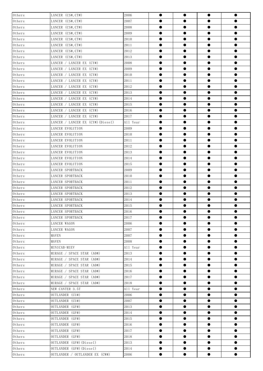| $0$ thers                           | LANCER (CS#, CT#)                 | 2006     | $\bullet$ | $\bullet$ | $\bullet$ | $\bullet$ |
|-------------------------------------|-----------------------------------|----------|-----------|-----------|-----------|-----------|
| $0{\rm\thinspace thers}$            | LANCER (CS#, CT#)                 | 2007     | $\bullet$ | $\bullet$ | $\bullet$ |           |
| $0{\rm\thinspace thers}$            | LANCER (CS#, CT#)                 | 2008     | $\bullet$ | $\bullet$ | $\bullet$ | $\bullet$ |
| $0{\rm\thinspace thers}$            | LANCER (CS#, CT#)                 | 2009     | $\bullet$ | $\bullet$ | $\bullet$ | $\bullet$ |
| $0{\rm\thinspace thers}$            | LANCER (CS#, CT#)                 | 2010     | $\bullet$ | $\bullet$ | $\bullet$ | $\bullet$ |
| $0{\rm\thinspace thers}$            | LANCER (CS#, CT#)                 | 2011     | $\bullet$ | $\bullet$ | $\bullet$ | $\bullet$ |
| $0{\rm\thinspace thers}$            | LANCER (CS#, CT#)                 | 2012     | $\bullet$ | $\bullet$ | $\bullet$ | $\bullet$ |
| $0{\rm\thinspace thers}$            | LANCER (CS#, CT#)                 | 2013     | $\bullet$ | $\bullet$ | $\bullet$ | $\bullet$ |
| $0{\rm\thinspace thers}$            | LANCER / LANCER EX (CY#)          | 2008     | $\bullet$ |           | $\bullet$ | $\bullet$ |
| $0{\rm\thinspace thers}$            | LANCER / LANCER EX (CY#)          | 2009     | $\bullet$ | $\bullet$ | $\bullet$ | $\bullet$ |
| $0{\rm\thinspace thers}$            | LANCER / LANCER EX (CY#)          | 2010     | $\bullet$ | $\bullet$ | $\bullet$ | $\bullet$ |
| $0{\rm\thinspace thers}$            | LANCER / LANCER EX (CY#)          | 2011     | $\bullet$ | $\bullet$ | $\bullet$ | $\bullet$ |
| $0{\rm\thinspace thers}$            | LANCER / LANCER EX (CY#)          | 2012     | $\bullet$ | $\bullet$ | $\bullet$ | $\bullet$ |
| $0{\rm\thinspace thers}$            | LANCER / LANCER EX (CY#)          | 2013     | $\bullet$ | $\bullet$ | $\bullet$ | $\bullet$ |
| $0$ thers                           | LANCER / LANCER EX (CY#)          | 2014     | $\bullet$ | $\bullet$ | $\bullet$ | $\bullet$ |
| $0{\rm\thinspace thers}$            | LANCER / LANCER EX (CY#)          | 2015     | $\bullet$ | $\bullet$ | $\bullet$ | $\bullet$ |
| $0$ thers                           | LANCER / LANCER EX (CY#)          | 2016     | $\bullet$ | $\bullet$ | $\bullet$ | $\bullet$ |
| $0{\rm\thinspace thers}$            | LANCER / LANCER EX (CY#)          | 2017     | $\bullet$ | $\bullet$ | $\bullet$ | $\bullet$ |
| $0{\rm\thinspace thers}$            | LANCER / LANCER EX (CY#) (Diesel) | All Year | $\bullet$ | $\bullet$ | $\bullet$ | $\bullet$ |
| $0{\rm\thinspace thers}$            | LANCER EVOLUTION                  | 2009     | $\bullet$ | $\bullet$ | $\bullet$ | $\bullet$ |
| $0{\rm\thinspace thers}$            | LANCER EVOLUTION                  | 2010     | $\bullet$ | $\bullet$ | $\bullet$ | $\bullet$ |
| $0{\rm\thinspace thers}$            | LANCER EVOLUTION                  | 2011     | $\bullet$ | $\bullet$ | $\bullet$ | $\bullet$ |
| Others                              | LANCER EVOLUTION                  | 2012     | $\bullet$ | $\bullet$ | $\bullet$ | $\bullet$ |
| $0{\rm\thinspace thers}$            | LANCER EVOLUTION                  | 2013     | $\bullet$ | $\bullet$ | $\bullet$ | $\bullet$ |
| $0{\rm\thinspace thers}$            | LANCER EVOLUTION                  | 2014     | $\bullet$ |           | $\bullet$ | $\bullet$ |
| $0{\rm\thinspace thers}$            | LANCER EVOLUTION                  | 2015     | $\bullet$ | $\bullet$ | $\bullet$ | $\bullet$ |
| $0{\rm\thinspace thers}$            | LANCER SPORTBACK                  | 2009     | $\bullet$ | $\bullet$ | $\bullet$ | $\bullet$ |
| $0{\rm\thinspace thers}$            | LANCER SPORTBACK                  | 2010     | $\bullet$ | $\bullet$ | $\bullet$ | $\bullet$ |
| $0{\rm\thinspace thers}$            | LANCER SPORTBACK                  | 2011     | $\bullet$ | $\bullet$ | $\bullet$ | $\bullet$ |
| $0{\rm\thinspace thers}$            | LANCER SPORTBACK                  | 2012     | $\bullet$ | $\bullet$ | $\bullet$ | $\bullet$ |
| Others                              | LANCER SPORTBACK                  | 2013     | $\bullet$ | $\bullet$ | $\bullet$ | $\bullet$ |
| $0{\rm\thinspace thers}$            | LANCER SPORTBACK                  | 2014     | ●         |           | $\bullet$ | $\bullet$ |
| Others                              | LANCER SPORTBACK                  | 2015     | $\bullet$ | 0         | $\bullet$ | $\bullet$ |
| $0{\rm\thinspace thers}$            | LANCER SPORTBACK                  | 2016     |           | $\bullet$ | $\bullet$ |           |
| $0{\rm\thinspace thers}$            | LANCER SPORTBACK                  | 2017     | $\bullet$ | ●         | $\bullet$ | $\bullet$ |
| $0{\rm\thinspace thers}$            | LANCER WAGON                      | 2006     | $\bullet$ | $\bullet$ | $\bullet$ | $\bullet$ |
| $0{\rm\thinspace thers}$            | LANCER WAGON                      | 2007     |           |           | $\bullet$ | $\bullet$ |
| $0{\rm\thinspace thers}$            | MAVEN                             | 2007     | $\bullet$ | $\bullet$ | $\bullet$ | $\bullet$ |
| Others                              | MAVEN                             | 2008     | $\bullet$ | $\bullet$ | $\bullet$ | $\bullet$ |
| $0{\rm\thinspace thers}$            | MINICAB-MIEV                      | All Year | $\bullet$ | $\bullet$ | $\bullet$ | $\bullet$ |
| Others                              | MIRAGE / SPACE STAR (A0#)         | 2013     | $\bullet$ | $\bullet$ | $\bullet$ | $\bullet$ |
| $0$ thers                           | MIRAGE / SPACE STAR (A0#)         | 2014     | $\bullet$ | $\bullet$ | $\bullet$ | $\bullet$ |
| $0$ thers                           | MIRAGE / SPACE STAR (A0#)         | 2015     | $\bullet$ | $\bullet$ | $\bullet$ | $\bullet$ |
| Others                              | / SPACE STAR (A0#)<br>MIRAGE      | 2016     | $\bullet$ | $\bullet$ | $\bullet$ | $\bullet$ |
| $0{\rm\thinspace thers}$            | MIRAGE / SPACE STAR (A0#)         | 2017     |           | 0         | 0         | $\bullet$ |
| $0{\rm\thinspace thers}$            | MIRAGE / SPACE STAR (A0#)         | 2018     | $\bullet$ | $\bullet$ | $\bullet$ | $\bullet$ |
| $0$ thers                           | NEW CANTER 3.5T                   | All Year | $\bullet$ | $\bullet$ | $\bullet$ | $\bullet$ |
| $0{\rm\thinspace the\thinspace rs}$ | OUTLANDER (CU#)                   | 2006     | $\bullet$ | $\bullet$ | $\bullet$ | $\bullet$ |
| $0{\rm\thinspace thers}$            | OUTLANDER (CU#)                   | 2007     | $\bullet$ | $\bullet$ | $\bullet$ | $\bullet$ |
| $0{\rm\thinspace thers}$            | OUTLANDER (GF#)                   | 2013     | $\bullet$ | $\bullet$ | $\bullet$ | $\bullet$ |
| $0$ thers                           | OUTLANDER (GF#)                   | 2014     | $\bullet$ | $\bullet$ | $\bullet$ | $\bullet$ |
| Others                              | OUTLANDER (GF#)                   | 2015     | $\bullet$ | $\bullet$ | $\bullet$ | $\bullet$ |
| $0$ there                           | OUTLANDER (GF#)                   | 2016     |           |           |           | $\bullet$ |
| $0{\rm\thinspace thers}$            | OUTLANDER (GF#)                   | 2017     | $\bullet$ | $\bullet$ | $\bullet$ | $\bullet$ |
| $0{\rm\thinspace thers}$            | OUTLANDER (GF#)                   | 2018     | $\bullet$ | $\bullet$ | $\bullet$ | $\bullet$ |
| Others                              | OUTLANDER (GF#) (Diesel)          | 2013     | $\bullet$ | $\bullet$ | $\bullet$ | $\bullet$ |
| $0{\rm\thinspace thers}$            | OUTLANDER (GF#) (Diesel)          | 2014     | $\bullet$ | $\bullet$ | $\bullet$ | $\bullet$ |
| Others                              | OUTLANDER / OUTLANDER EX (CW#)    | 2006     | $\bullet$ | $\bullet$ | $\bullet$ | $\bullet$ |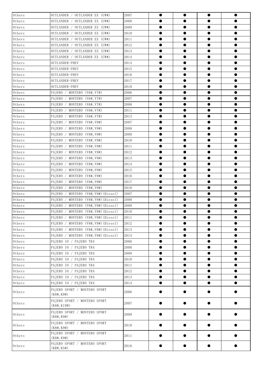| Others                   | OUTLANDER / OUTLANDER EX (CW#)              | 2007 |           | $\bullet$ | $\bullet$ | $\bullet$ |  |
|--------------------------|---------------------------------------------|------|-----------|-----------|-----------|-----------|--|
| Others                   | OUTLANDER / OUTLANDER EX (CW#)              | 2008 | 0         |           |           | $\bullet$ |  |
| $0{\rm\thinspace thers}$ | OUTLANDER / OUTLANDER EX (CW#)              | 2009 | $\bullet$ | $\bullet$ | $\bullet$ | $\bullet$ |  |
| Others                   | OUTLANDER / OUTLANDER EX (CW#)              | 2010 |           | $\bullet$ | $\bullet$ | $\bullet$ |  |
| Others                   | OUTLANDER / OUTLANDER EX (CW#)              | 2011 | $\bullet$ | $\bullet$ | $\bullet$ | $\bullet$ |  |
| Others                   | OUTLANDER / OUTLANDER EX (CW#)              | 2012 | $\bullet$ | $\bullet$ | $\bullet$ | $\bullet$ |  |
| $0{\rm\thinspace thers}$ | OUTLANDER / OUTLANDER EX (CW#)              | 2013 | $\bullet$ | $\bullet$ | $\bullet$ | $\bullet$ |  |
| $0$ there                | OUTLANDER / OUTLANDER EX (CW#)              | 2014 | $\bullet$ | $\bullet$ | $\bullet$ | $\bullet$ |  |
| Others                   | OUTLANDER-PHEV                              | 2014 | $\bullet$ | $\bullet$ | $\bullet$ | $\bullet$ |  |
| Others                   | OUTLANDER-PHEV                              | 2015 |           | $\bullet$ | $\bullet$ | $\bullet$ |  |
| Others                   | OUTLANDER-PHEV                              | 2016 | $\bullet$ | $\bullet$ | $\bullet$ | $\bullet$ |  |
| Others                   | OUTLANDER-PHEV                              | 2017 |           | $\bullet$ | $\bullet$ | $\bullet$ |  |
| Others                   | OUTLANDER-PHEV                              | 2018 | $\bullet$ | $\bullet$ | $\bullet$ | $\bullet$ |  |
| Others                   | PAJERO / MONTERO (V6#, V7#)                 | 2006 | $\bullet$ | $\bullet$ | $\bullet$ | $\bullet$ |  |
| $0$ thers                | PAJERO / MONTERO (V6#, V7#)                 | 2007 | $\bullet$ | $\bullet$ | $\bullet$ | $\bullet$ |  |
| $0$ there                | PAJERO / MONTERO (V6#, V7#)                 | 2008 | $\bullet$ | $\bullet$ | $\bullet$ | $\bullet$ |  |
| Others                   | PAJERO<br>MONTERO (V6#, V7#)                | 2011 | $\bullet$ | $\bullet$ | $\bullet$ | $\bullet$ |  |
| Others                   | PAJERO<br>MONTERO (V6#, V7#)                | 2013 |           | $\bullet$ | $\bullet$ | $\bullet$ |  |
| $0$ thers                | PAJERO<br>MONTERO (V8#, V9#)                | 2007 | $\bullet$ | $\bullet$ | $\bullet$ | $\bullet$ |  |
| Others                   | PAJERO<br>MONTERO (V8#, V9#)                | 2008 |           | $\bullet$ | $\bullet$ | $\bullet$ |  |
| Others                   | MONTERO (V8#, V9#)<br>PAJERO                | 2009 | $\bullet$ | $\bullet$ | $\bullet$ | $\bullet$ |  |
| Others                   | PAJERO<br>MONTERO (V8#, V9#)                | 2010 | $\bullet$ | $\bullet$ | $\bullet$ | $\bullet$ |  |
| $0$ thers                | MONTERO (V8#, V9#)<br>PAJERO                | 2011 | $\bullet$ | $\bullet$ | $\bullet$ | $\bullet$ |  |
| Others                   | PAJERO<br>MONTERO (V8#, V9#)                | 2012 | $\bullet$ | $\bullet$ | $\bullet$ | $\bullet$ |  |
| Others                   | PAJERO<br>MONTERO (V8#, V9#)                | 2013 | $\bullet$ | $\bullet$ | $\bullet$ | $\bullet$ |  |
| Others                   | PAJERO<br>MONTERO (V8#, V9#)                | 2014 |           | $\bullet$ | $\bullet$ | $\bullet$ |  |
| $0$ thers                | PAJERO<br>MONTERO (V8#, V9#)                | 2015 | $\bullet$ | $\bullet$ | $\bullet$ | $\bullet$ |  |
| Others                   | PAJERO<br>MONTERO (V8#, V9#)                | 2016 |           | $\bullet$ | $\bullet$ | $\bullet$ |  |
| Others                   | PAJERO<br>MONTERO (V8#, V9#)                | 2017 | $\bullet$ | $\bullet$ | $\bullet$ | $\bullet$ |  |
| Others                   | PAJERO<br>MONTERO (V8#, V9#)                | 2018 | $\bullet$ | $\bullet$ | $\bullet$ | $\bullet$ |  |
| Others                   | MONTERO (V8#, V9#) (Diesel)<br>PAJERO       | 2007 | $\bullet$ | $\bullet$ | $\bullet$ | $\bullet$ |  |
| Others                   | PAJERO<br>MONTERO (V8#, V9#) (Diesel)       | 2008 | $\bullet$ | $\bullet$ | $\bullet$ | $\bullet$ |  |
| $0{\rm\thinspace thers}$ | PAJERO / MONTERO (V8#, V9#) (Diesel)        | 2009 | $\bullet$ | $\bullet$ | $\bullet$ | $\bullet$ |  |
| Others                   | PAJERO / MONTERO (V8#, V9#) (Diesel)        | 2010 |           |           |           |           |  |
| $0{\rm\thinspace thers}$ | PAJERO /<br>MONTERO (V8#, V9#) (Diesel)     | 2011 | $\bullet$ | $\bullet$ | $\bullet$ | $\bullet$ |  |
| $0{\rm\thinspace thers}$ | PAIERO / MONTERO (V8#, V9#) (Diesel)        | 2012 | $\bullet$ | $\bullet$ | $\bullet$ | $\bullet$ |  |
| Others                   | PAJERO / MONTERO (V8#, V9#) (Diesel)        | 2013 | $\bullet$ | $\bullet$ | $\bullet$ | $\bullet$ |  |
| Others                   | PAJERO / MONTERO (V8#, V9#) (Diesel)        | 2014 | $\bullet$ | $\bullet$ | $\bullet$ | $\bullet$ |  |
| $0{\rm\thinspace thers}$ | PAJERO IO / PAJERO TR4                      | 2006 | $\bullet$ | $\bullet$ | $\bullet$ | $\bullet$ |  |
| Others                   | PAJERO IO / PAJERO TR4                      | 2008 | $\bullet$ | $\bullet$ | $\bullet$ | $\bullet$ |  |
| Others                   | PAJERO IO / PAJERO TR4                      | 2009 | $\bullet$ | $\bullet$ | $\bullet$ | $\bullet$ |  |
| Others                   | PAJERO IO / PAJERO TR4                      | 2010 | $\bullet$ | $\bullet$ | $\bullet$ | $\bullet$ |  |
| $0{\rm\thinspace thers}$ | PAJERO IO / PAJERO TR4                      | 2011 | $\bullet$ | $\bullet$ | $\bullet$ | $\bullet$ |  |
| Others                   | PAJERO IO / PAJERO TR4                      | 2012 | $\bullet$ | $\bullet$ | $\bullet$ | $\bullet$ |  |
| Others                   | PAJERO IO / PAJERO TR4                      | 2013 | $\bullet$ | $\bullet$ | $\bullet$ | $\bullet$ |  |
| Others                   | PAJERO IO / PAJERO TR4                      | 2014 | $\bullet$ | $\bullet$ | $\bullet$ | $\bullet$ |  |
| Others                   | PAJERO SPORT / MONTERO SPORT<br>(K8#, K9#)  | 2006 |           |           | 0         |           |  |
| Others                   | PAJERO SPORT / MONTERO SPORT<br>(K8#, K19#) | 2007 |           |           | ●         | ●         |  |
| Others                   | PAJERO SPORT / MONTERO SPORT<br>(K8#, K9#)  | 2009 |           |           |           |           |  |
| Others                   | PAJERO SPORT / MONTERO SPORT<br>(K8#, K9#)  | 2010 |           |           |           |           |  |
| Others                   | PAJERO SPORT / MONTERO SPORT<br>(K8#, K9#)  | 2011 |           |           |           |           |  |
| Others                   | PAJERO SPORT / MONTERO SPORT<br>(KR#, KS#)  | 2016 |           |           |           |           |  |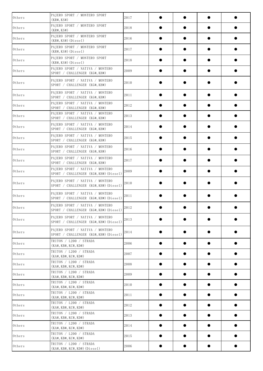| Others    | PAJERO SPORT / MONTERO SPORT<br>(KR#, KS#)                                     | 2017 |   |   |           |           |
|-----------|--------------------------------------------------------------------------------|------|---|---|-----------|-----------|
| Others    | PAJERO SPORT / MONTERO SPORT<br>(KR#, KS#)                                     | 2018 |   |   |           |           |
| Others    | PAJERO SPORT / MONTERO SPORT<br>$(KR#, KS#)$ (Diesel)                          | 2016 |   |   |           |           |
| Others    | PAJERO SPORT / MONTERO SPORT<br>$(KR#, KS#)$ (Diesel)                          | 2017 |   |   |           |           |
| Others    | PAJERO SPORT / MONTERO SPORT<br>$(KR#, KS#)$ (Diesel)                          | 2018 |   |   |           |           |
| Others    | PAJERO SPORT / NATIVA / MONTERO<br>SPORT / CHALLENGER (KG#, KH#)               | 2009 |   |   |           |           |
| Others    | PAJERO SPORT / NATIVA / MONTERO<br>SPORT / CHALLENGER (KG#, KH#)               | 2010 |   |   |           |           |
| Others    | PAJERO SPORT / NATIVA / MONTERO<br>SPORT / CHALLENGER (KG#, KH#)               | 2011 |   |   |           |           |
| Others    | PAJERO SPORT / NATIVA / MONTERO<br>SPORT / CHALLENGER (KG#, KH#)               | 2012 |   |   |           |           |
| Others    | PAJERO SPORT / NATIVA / MONTERO<br>SPORT / CHALLENGER (KG#, KH#)               | 2013 |   |   |           |           |
| Others    | PAJERO SPORT / NATIVA / MONTERO<br>SPORT / CHALLENGER (KG#, KH#)               | 2014 |   |   |           |           |
| Others    | PAJERO SPORT / NATIVA / MONTERO<br>SPORT / CHALLENGER (KG#, KH#)               | 2015 |   |   |           |           |
| Others    | PAJERO SPORT / NATIVA / MONTERO<br>SPORT / CHALLENGER (KG#, KH#)               | 2016 |   |   |           |           |
| Others    | PAJERO SPORT / NATIVA / MONTERO<br>SPORT / CHALLENGER (KG#, KH#)               | 2017 |   |   |           |           |
| Others    | PAJERO SPORT / NATIVA / MONTERO<br>SPORT / CHALLENGER (KG#, KH#) (Diesel)      | 2009 |   |   |           |           |
| Others    | PAJERO SPORT / NATIVA / MONTERO<br>SPORT / CHALLENGER (KG#, KH#) (Diesel)      | 2010 |   |   |           |           |
| Others    | PAJERO SPORT / NATIVA / MONTERO<br>SPORT / CHALLENGER (KG#, KH#) (Diesel)      | 2011 |   |   |           |           |
| Others    | PAJERO SPORT / NATIVA / MONTERO<br>SPORT / CHALLENGER (KG#, KH#) (Diesel) 2012 |      |   |   |           |           |
| Others    | PAJERO SPORT / NATIVA / MONTERO<br>SPORT / CHALLENGER (KG#, KH#) (Diesel)      | 2013 |   |   |           | ●         |
| Others    | PAJERO SPORT / NATIVA / MONTERO<br>SPORT / CHALLENGER (KG#, KH#) (Diesel)      | 2014 |   |   |           |           |
| Others    | TRITON / L200 / STRADA<br>(KA#, KB#, KC#, KD#)                                 | 2006 |   |   | $\bullet$ | $\bullet$ |
| Others    | TRITON / L200 / STRADA<br>(KA#, KB#, KC#, KD#)                                 | 2007 |   | ● | $\bullet$ | $\bullet$ |
| Others    | TRITON / L200 / STRADA<br>$(KA\#$ , $KB\#$ , $KC\#$ , $KD\#$ )                 | 2008 |   |   | $\bullet$ | $\bullet$ |
| Others    | TRITON / L200 / STRADA<br>$(KA\#$ , $KB\#$ , $KC\#$ , $KD\#$ )                 | 2009 |   |   |           |           |
| Others    | TRITON / L200 / STRADA<br>$(KA\#$ , $KB\#$ , $KC\#$ , $KD\#$ )                 | 2010 |   |   | $\bullet$ |           |
| Others    | TRITON / L200 / STRADA<br>$(KA\#$ , $KB\#$ , $KC\#$ , $KD\#$ )                 | 2011 |   | ● | $\bullet$ | $\bullet$ |
| Others    | TRITON / L200 / STRADA<br>$(KA\#$ , $KB\#$ , $KC\#$ , $KD\#$ )                 | 2012 | ● | ● | $\bullet$ | $\bullet$ |
| $0$ thers | TRITON / L200 / STRADA<br>$(KA\#$ , $KB\#$ , $KC\#$ , $KD\#$ )                 | 2013 |   |   | $\bullet$ | 0         |
| Others    | TRITON / L200 / STRADA<br>$(KA\#$ , $KB\#$ , $KC\#$ , $KD\#$ )                 | 2014 |   |   | $\bullet$ |           |
| $0$ thers | TRITON / L200 / STRADA<br>(KA#, KB#, KC#, KD#)                                 | 2015 |   |   | $\bullet$ | $\bullet$ |
| Others    | TRITON / L200 / STRADA<br>$(KA#, KB#, KC#, KD#)$ (Diesel)                      | 2006 |   |   |           |           |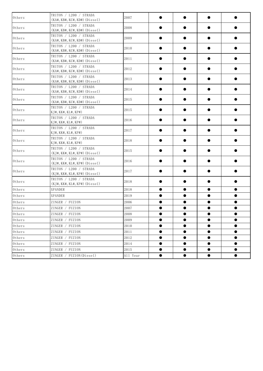| Others                   | TRITON / L200 / STRADA<br>$(KA#, KB#, KC#, KD#)$ (Diesel) | 2007     |           |           |           |           |
|--------------------------|-----------------------------------------------------------|----------|-----------|-----------|-----------|-----------|
| $0$ thers                | TRITON / L200 / STRADA<br>$(KA#, KB#, KC#, KD#)$ (Diesel) | 2008     |           |           | $\bullet$ |           |
| Others                   | TRITON / L200 / STRADA<br>$(KA#, KB#, KC#, KD#)$ (Diesel) | 2009     | $\bullet$ |           | $\bullet$ |           |
| Others                   | TRITON / L200 / STRADA<br>$(KA#, KB#, KC#, KD#)$ (Diesel) | 2010     | $\bullet$ |           | $\bullet$ |           |
| Others                   | TRITON / L200 / STRADA<br>$(KA#, KB#, KC#, KD#)$ (Diesel) | 2011     | ●         |           | $\bullet$ |           |
| Others                   | TRITON / L200 / STRADA<br>$(KA#, KB#, KC#, KD#)$ (Diesel) | 2012     |           |           | $\bullet$ | $\bullet$ |
| Others                   | TRITON / L200 / STRADA<br>$(KA#, KB#, KC#, KD#)$ (Diesel) | 2013     |           |           | ●         |           |
| Others                   | TRITON / L200 / STRADA<br>$(KA#, KB#, KC#, KD#)$ (Diesel) | 2014     |           |           |           |           |
| Others                   | TRITON / L200 / STRADA<br>$(KA#, KB#, KC#, KD#)$ (Diesel) | 2015     |           |           | ●         |           |
| Others                   | TRITON / L200 / STRADA<br>KJ#, KK#, KL#, KP#)             | 2015     | ●         |           | $\bullet$ | $\bullet$ |
| Others                   | TRITON / L200 / STRADA<br>KJ#, KK#, KL#, KP#)             | 2016     | $\bullet$ |           | $\bullet$ | ●         |
| Others                   | TRITON / L200 / STRADA<br>KJ#, KK#, KL#, KP#)             | 2017     | $\bullet$ |           | $\bullet$ |           |
| Others                   | TRITON / L200 / STRADA<br>KJ#, KK#, KL#, KP#)             | 2018     | $\bullet$ |           | $\bullet$ | $\bullet$ |
| Others                   | TRITON / L200 / STRADA<br>$(KJ#, KK#, KL#, KP#)$ (Diesel) | 2015     |           |           | $\bullet$ | $\bullet$ |
| $0$ thers                | TRITON / L200 / STRADA<br>$(KJ#, KK#, KL#, KP#)$ (Diesel) | 2016     |           |           |           |           |
| Others                   | TRITON / L200 / STRADA<br>$(KJ#, KK#, KL#, KP#)$ (Diesel) | 2017     |           |           |           |           |
| Others                   | TRITON / L200 / STRADA<br>$(KJ#, KK#, KL#, KP#)$ (Diesel) | 2018     |           |           |           |           |
| $0$ thers                | XPANDER                                                   | 2018     | $\bullet$ | $\bullet$ | $\bullet$ | $\bullet$ |
| Others                   | <b>XPANDER</b>                                            | 2019     | $\bullet$ | $\bullet$ | $\bullet$ | $\bullet$ |
| $0{\rm\thinspace thers}$ | ZINGER / FUZION                                           | 2006     | $\bullet$ |           | $\bullet$ | $\bullet$ |
| Others                   | ZINGER / FUZION                                           | 2007     | ●         |           | $\bullet$ | $\bullet$ |
| Others                   | ZINGER / FUZION                                           | 2008     | $\bullet$ | $\bullet$ | $\bullet$ | $\bullet$ |
| $0{\rm\thinspace thers}$ | ZINGER / FUZION                                           | 2009     | $\bullet$ | $\bullet$ | $\bullet$ | $\bullet$ |
| Others                   | ZINGER / FUZION                                           | 2010     |           | $\bullet$ | $\bullet$ | $\bullet$ |
| $0$ thers                | ZINGER / FUZION                                           | 2011     | $\bullet$ | $\bullet$ | $\bullet$ | $\bullet$ |
| Others                   | ZINGER / FUZION                                           | 2012     | $\bullet$ | $\bullet$ | $\bullet$ | $\bullet$ |
| $0{\rm\thinspace thers}$ | ZINGER / FUZION                                           | 2014     | $\bullet$ | $\bullet$ | $\bullet$ | $\bullet$ |
| Others                   | ZINGER / FUZION                                           | 2015     | ●         | $\bullet$ | $\bullet$ | $\bullet$ |
| Others                   | ZINGER / FUZION (Diesel)                                  | All Year | $\bullet$ | $\bullet$ | $\bullet$ | $\bullet$ |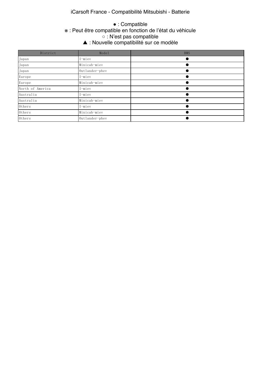### $M_{\rm H}$  , the function  $M_{\rm H}$  is the function  $L_{\rm H}$  reference only  $\mu$  reference only  $\mu$ iCarsoft France - Compatibilité Mitsubishi - Batterie

#### e This function is the function is the function  $\mathbf{x} \cdot \mathbf{P}$  and  $\hat{\mathbf{a}}$  from  $\mathbf{p}$  $\alpha$  : N'est nas comnatible.  $\triangle$   $\cdot$  Nouvallo co ▲ This function isthe new feature in this version. ● : Compatible ※ : Peut être compatible en fonction de l'état du véhicule ○ : N'est pas compatible ▲ : Nouvelle compatibilité sur ce modèle

| District         | Model             | <b>BMS</b> |
|------------------|-------------------|------------|
| Japan            | I-miev            |            |
| Japan            | Minicab-miev      |            |
| Japan            | Outlander-phev    |            |
| Europe           | I-miev            |            |
| Europe           | Minicab-miev      |            |
| North of America | I-miev            |            |
| Australia        | I-miev            |            |
| Australia        | Minicab-miev      |            |
| Others           | I-miev            |            |
| Others           | Minicab-miev      |            |
| Others           | $0$ utlander-phev |            |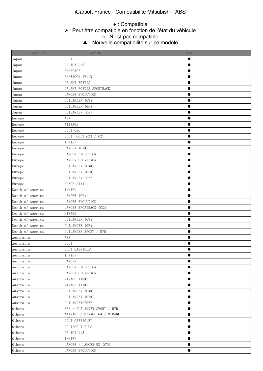### $M_{\rm H}$  ,  $M_{\rm H}$  ,  $M_{\rm H}$  ,  $M_{\rm H}$  reference only),  $M_{\rm H}$  reference only  $M_{\rm H}$ iCarsoft France - Compatibilité Mitsubishi - ABS

### ● : Compatible

e This function is the function is the function  $\mathbf{w} \cdot \mathbf{P}$  and  $\mathbf{\hat{a}}$  from  $\mathbf{p}$ ※ : Peut être compatible en fonction de l'état du véhicule

#### $\alpha \cdot N'$  actual compatible. ○ : N'est pas compatible

 $\Delta \cdot$ Nouvollo  $\mathcal{A} = \{ \mathcal{A} \mid \mathcal{A} \in \mathcal{A} \mid \mathcal{A} \neq \emptyset \}$  is the new feature in this version. ▲ : Nouvelle compatibilité sur ce modèle

| District                 | Model                        | <b>BLD</b> |
|--------------------------|------------------------------|------------|
| Japan                    | COLT                         |            |
| Japan                    | DELICA D:5                   |            |
| Japan                    | EK-SPACE                     |            |
| Japan                    | EK-WAGON (B11W)              | 0          |
| Japan                    | GALANT FORTIS                | $\bullet$  |
| Japan                    | GALANT FORTIS SPORTBACK      |            |
| Japan                    | <b>LANCER EVOLUTION</b>      |            |
| Japan                    | OUTLANDER (CW#)              |            |
| Japan                    | OUTLANDER (GF#)              | 0          |
| Japan                    | OUTLANDER-PHEV               |            |
| Europe                   | ASX                          |            |
| Europe                   | ATTRAGE                      | 0          |
| Europe                   | COLT CZC                     | $\bullet$  |
| Europe                   | COLT, COLT CZ3 / CZT         |            |
| Europe                   | I-MIEV                       |            |
| Europe                   | LANCER (CY#)                 |            |
| Europe                   | <b>LANCER EVOLUTION</b>      | 0          |
| Europe                   | LANCER SPORTBACK             |            |
| Europe                   | OUTLANDER (CW#)              |            |
| Europe                   | OUTLANDER (GF#)              |            |
| Europe                   | OUTLANDER-PHEV               | $\bullet$  |
| Europe                   | SPACE STAR                   |            |
| North of America         | I-MIEV                       |            |
| North of America         | LANCER (CY#)                 |            |
| North of America         | LANCER EVOLUTION             | ●          |
| North of America         | LANCER SPORTBACK (CX#)       |            |
| North of America         | MIRAGE                       |            |
| North of America         | OUTLANDER (CW#)              |            |
| North of America         | OUTLANDER (GF#)              | ●          |
| North of America         | OUTLANDER SPORT / RVR        |            |
| Australia                | ASX                          |            |
| Australia                | COLT                         |            |
| Australia                | COLT CABRIOLET               |            |
| Australia                | $I-MIEV$                     |            |
| Australia                | LANCER                       |            |
| Australia                | LANCER EVOLUTION             |            |
| Australia                | LANCER SPORTBACK             | ●          |
| Australia                | MIRAGE (A0#)                 |            |
| Australia                | MIRAGE (A1#)                 | 0          |
| Australia                | OUTLANDER (CW#)              |            |
| Australia                | OUTLANDER (GF#)              | ●          |
| Australia                | OUTLANDER-PHEV               |            |
| Others                   | ASX / OUTLANDER SPORT / RVR  |            |
| Others                   | ATTRAGE / MIRAGE G4 / MIRAGE |            |
| $0{\rm\thinspace thers}$ | COLT CABRIOLET               |            |
| $0$ thers                | COLT/COLT PLUS               |            |
| $0$ thers                | DELICA D:5                   |            |
| Others                   | I-MIEV                       |            |
| $0$ thers                | LANCER / LANCER EX (CY#)     | ●          |
| Others                   | LANCER EVOLUTION             | ●          |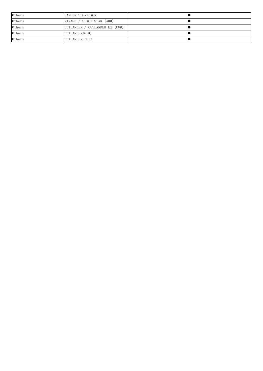| Others | LANCER SPORTBACK               |  |
|--------|--------------------------------|--|
| Others | MIRAGE / SPACE STAR (A0#)      |  |
| Others | OUTLANDER / OUTLANDER EX (CW#) |  |
| Others | OUTLANDER (GF#)                |  |
| Others | OUTLANDER-PHEV                 |  |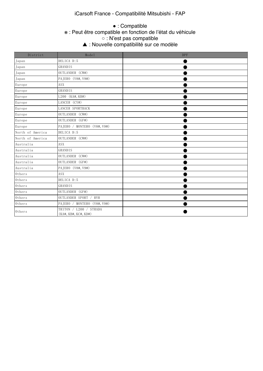### iCarsoft France - Compatibilité Mitsubishi - FAP

### e This function is the function in the function  $\mathbf{x} \cdot \mathbf{P}$  and  $\hat{\mathbf{r}}$  function  $\mathbf{r}$  $\alpha \cdot N'$ est nas comnatible.  $\blacktriangle$  · Nouvalle c ● : Compatible ※ : Peut être compatible en fonction de l'état du véhicule ○ : N'est pas compatible

| ▲ : Nouvelle compatibilité sur ce modèle |
|------------------------------------------|
|                                          |

| District         | Model                                                          | <b>DPF</b> |
|------------------|----------------------------------------------------------------|------------|
| Japan            | DELICA D:5                                                     |            |
| Japan            | GRANDIS                                                        |            |
| Japan            | OUTLANDER (CW#)                                                |            |
| Japan            | PAJERO (V8#, V9#)                                              |            |
| Europe           | ASX                                                            |            |
| Europe           | GRANDIS                                                        |            |
| Europe           | L200 (KA#, KB#)                                                |            |
| Europe           | LANCER (CY#)                                                   |            |
| Europe           | LANCER SPORTBACK                                               |            |
| Europe           | OUTLANDER (CW#)                                                |            |
| Europe           | OUTLANDER (GF#)                                                |            |
| Europe           | PAJERO / MONTERO (V8#, V9#)                                    |            |
| North of America | DELICA D:5                                                     |            |
| North of America | OUTLANDER (CW#)                                                |            |
| Australia        | ASX                                                            |            |
| Australia        | GRANDIS                                                        |            |
| Australia        | OUTLANDER (CW#)                                                |            |
| Australia        | OUTLANDER (GF#)                                                |            |
| Australia        | PAJERO (V8#, V9#)                                              |            |
| Others           | ASX                                                            |            |
| Others           | DELICA D:5                                                     |            |
| Others           | GRANDIS                                                        |            |
| Others           | OUTLANDER (GF#)                                                |            |
| Others           | OUTLANDER SPORT / RVR                                          |            |
| Others           | PAJERO / MONTERO (V8#, V9#)                                    |            |
| $0$ thers        | TRITON / L200 / STRADA<br>$(KA\#$ , $KB\#$ , $KC\#$ , $KD\#$ ) |            |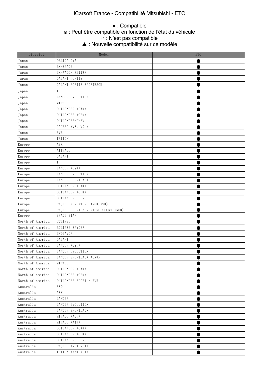### iCarsoft France - Compatibilité Mitsubishi - ETC

### e This function is the function is the function  $\mathbf{x}_i \cdot \mathbf{P}$  and  $\hat{\mathbf{r}}$  function  $\mathbf{r}_i$  $\circ$  : N'est pas compatible.  $\circ$ ● : Compatible ※ : Peut être compatible en fonction de l'état du véhicule

 $\triangle$   $\cdot$  Nouvallo co ▲ : Nouvelle compatibilité sur ce modèle

| District         | Model                              | <b>ETC</b> |
|------------------|------------------------------------|------------|
| Japan            | DELICA D:5                         |            |
| Japan            | EK-SPACE                           |            |
| Japan            | EK-WAGON (B11W)                    |            |
| Japan            | GALANT FORTIS                      |            |
| Japan            | GALANT FORTIS SPORTBACK            |            |
| Japan            |                                    |            |
| Japan            | LANCER EVOLUTION                   |            |
| Japan            | MIRAGE                             |            |
| Japan            | OUTLANDER (CW#)                    |            |
| Japan            | OUTLANDER (GF#)                    |            |
| Japan            | OUTLANDER-PHEV                     |            |
| Japan            | PAJERO (V8#, V9#)                  |            |
| Japan            | RVR                                |            |
| Japan            | TRITON                             |            |
| Europe           | ASX                                |            |
| Europe           | ATTRAGE                            |            |
| Europe           | GALANT                             |            |
|                  |                                    |            |
| Europe           | LANCER (CY#)                       |            |
| Europe           |                                    |            |
| Europe           | LANCER EVOLUTION                   |            |
| Europe           | LANCER SPORTBACK                   |            |
| Europe           | OUTLANDER (CW#)                    |            |
| Europe           | OUTLANDER (GF#)                    |            |
| Europe           | OUTLANDER-PHEV                     |            |
| Europe           | PAJERO / MONTERO (V8#, V9#)        |            |
| Europe           | PAJERO SPORT / MONTERO SPORT (KH#) |            |
| Europe           | SPACE STAR                         |            |
| North of America | <b>ECLIPSE</b>                     |            |
| North of America | ECLIPSE SPYDER                     |            |
| North of America | ENDEAVOR                           |            |
| North of America | GALANT                             |            |
| North of America | LANCER (CY#)                       |            |
| North of America | LANCER EVOLUTION                   |            |
| North of America | LANCER SPORTBACK (CX#)             |            |
| North of America | MIRAGE                             |            |
| North of America | OUTLANDER (CW#)                    |            |
| North of America | OUTLANDER (GF#)                    |            |
| North of America | OUTLANDER SPORT / RVR              |            |
| Australia        | 380                                |            |
| Australia        | ${\rm ASX}$                        |            |
| Australia        | LANCER                             |            |
| Australia        | LANCER EVOLUTION                   |            |
| Australia        | LANCER SPORTBACK                   |            |
| Australia        | MIRAGE (A0#)                       |            |
| Australia        | MIRAGE (A1#)                       |            |
| Australia        | OUTLANDER (CW#)                    |            |
| Australia        | OUTLANDER (GF#)                    |            |
| Australia        | OUTLANDER-PHEV                     |            |
| Australia        | PAJERO (V8#, V9#)                  |            |
| Australia        | TRITON (KA#, KB#)                  |            |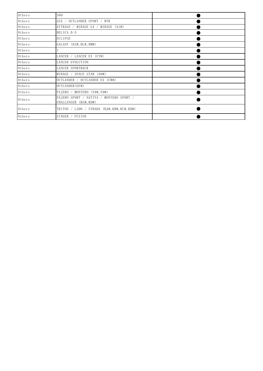| Others | 380                                                              |  |
|--------|------------------------------------------------------------------|--|
| Others | ASX / OUTLANDER SPORT / RVR                                      |  |
| Others | ATTRAGE / MIRAGE G4 / MIRAGE (A1#)                               |  |
| Others | DELICA D:5                                                       |  |
| Others | <b>ECLIPSE</b>                                                   |  |
| Others | GALANT (DJ#, DL#, DM#)                                           |  |
| Others |                                                                  |  |
| Others | LANCER / LANCER EX (CY#)                                         |  |
| Others | LANCER EVOLUTION                                                 |  |
| Others | LANCER SPORTBACK                                                 |  |
| Others | MIRAGE / SPACE STAR (AO#)                                        |  |
| Others | OUTLANDER / OUTLANDER EX (CW#)                                   |  |
| Others | OUTLANDER (GF#)                                                  |  |
| Others | PAJERO / MONTERO (V8#, V9#)                                      |  |
| Others | PAJERO SPORT / NATIVA / MONTERO SPORT /<br>CHALLENGER (KG#, KH#) |  |
| Others | TRITON / $L200$ / STRADA (KA#, KB#, KC#, KD#)                    |  |
| Others | ZINGER / FUZION                                                  |  |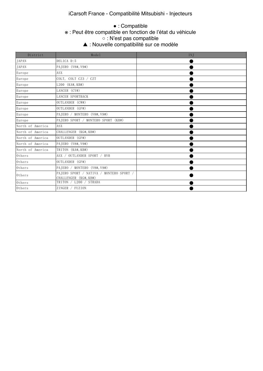### iCarsoft France - Compatibilité Mitsubishi - Injecteurs

### ※ : Peut être compatible en fonction de l'état du véhicule  $\circ$  : N'est pas compatible.  $\circ$ ● : Compatible

△ : Nouvelle compatibilité sur ce modèle

 $\mathcal{F}_{\mathcal{A}}$  this function is the new feature in this version.

| District         | Model                                                            | INJ |
|------------------|------------------------------------------------------------------|-----|
| <b>JAPAN</b>     | DELICA D:5                                                       |     |
| JAPAN            | PAJERO (V8#, V9#)                                                |     |
| Europe           | ASX.                                                             |     |
| Europe           | COLT, COLT CZ3 / CZT                                             |     |
| Europe           | L200 (KA#, KB#)                                                  |     |
| Europe           | LANCER (CY#)                                                     |     |
| Europe           | LANCER SPORTBACK                                                 |     |
| Europe           | OUTLANDER (CW#)                                                  |     |
| Europe           | OUTLANDER (GF#)                                                  |     |
| Europe           | PAJERO / MONTERO (V8#, V9#)                                      |     |
| Europe           | PAIERO SPORT / MONTERO SPORT (KH#)                               |     |
| North of America | <b>ASX</b>                                                       |     |
| North of America | CHALLENGER (KG#, KH#)                                            |     |
| North of America | OUTLANDER (GF#)                                                  |     |
| North of America | PAJERO (V8#, V9#)                                                |     |
| North of America | TRITON (KA#, KB#)                                                |     |
| Others           | ASX / OUTLANDER SPORT / RVR                                      |     |
| Others           | OUTLANDER (GF#)                                                  |     |
| Others           | PAJERO / MONTERO (V8#, V9#)                                      |     |
| Others           | PAJERO SPORT / NATIVA / MONTERO SPORT /<br>CHALLENGER (KG#, KH#) |     |
| Others           | TRITON / L200 / STRADA                                           |     |
| Others           | ZINGER / FUZION                                                  |     |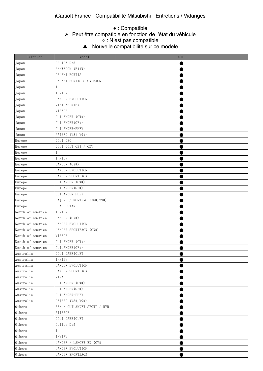● : Compatible

#### e This function is supported. The function  $\mathbf{x}_i \cdot \mathbf{P}$  and  $\hat{\mathbf{a}}$  from  $\mathbf{p}$ ※ : Peut être compatible en fonction de l'état du véhicule

 $\circ$  : N'est pas compatible.

▲ : Nouvelle compatibilité sur ce modèle  $\mathcal{F}_{\mathcal{A}}$  this function is the new feature in this version.

| District                 | Model                       | 0IL |
|--------------------------|-----------------------------|-----|
| Japan                    | DELICA D:5                  |     |
| Japan                    | EK-WAGON (B11W)             |     |
| Japan                    | GALANT FORTIS               |     |
| Japan                    | GALANT FORTIS SPORTBACK     |     |
| Japan                    |                             |     |
| Japan                    | $I-MIEV$                    |     |
| Japan                    | LANCER EVOLUTION            |     |
| Japan                    | MINICAB-MIEV                |     |
| Japan                    | MIRAGE                      |     |
| Japan                    | OUTLANDER (CW#)             |     |
| Japan                    | OUTLANDER (GF#)             |     |
| Japan                    | OUTLANDER-PHEV              |     |
| Japan                    | PAJERO (V8#, V9#)           |     |
| Europe                   | COLT CZC                    |     |
| Europe                   | COLT, COLT CZ3 / CZT        |     |
| Europe                   |                             |     |
| Europe                   | $I-MIEV$                    |     |
| Europe                   | LANCER (CY#)                |     |
| Europe                   | LANCER EVOLUTION            |     |
| Europe                   | LANCER SPORTBACK            |     |
| Europe                   | OUTLANDER (CW#)             |     |
| Europe                   | OUTLANDER (GF#)             |     |
| Europe                   | OUTLANDER-PHEV              |     |
| Europe                   | PAJERO / MONTERO (V8#, V9#) |     |
| Europe                   | SPACE STAR                  |     |
| North of America         | $I-MIEV$                    |     |
| North of America         | LANCER (CY#)                |     |
| North of America         | LANCER EVOLUTION            |     |
| North of America         | LANCER SPORTBACK (CX#)      |     |
| North of America         | MIRAGE                      |     |
| North of America         | OUTLANDER (CW#)             |     |
| North of America         | OUTLANDER (GF#)             |     |
| Australia                | COLT CABRIOLET              |     |
| Australia                | I-MIEV                      |     |
| Australia                | LANCER EVOLUTION            |     |
| Australia                | LANCER SPORTBACK            |     |
| Australia                | MIRAGE                      |     |
| Australia                | OUTLANDER (CW#)             |     |
| Australia                | OUTLANDER (GF#)             |     |
| Australia                | OUTLANDER-PHEV              |     |
| Australia                | PAJERO (V8#, V9#)           |     |
| $0$ thers                | ASX / OUTLANDER SPORT / RVR |     |
| $0{\rm\thinspace thers}$ | ATTRAGE                     |     |
| Others                   | COLT CABRIOLET              |     |
| Others                   | Delica D:5                  |     |
| $0{\rm\thinspace thers}$ |                             |     |
| $0{\rm\thinspace thers}$ | I-MIEV                      |     |
| Others                   | LANCER / LANCER EX (CY#)    |     |
| $0{\rm\thinspace thers}$ | LANCER EVOLUTION            |     |
| Others                   | LANCER SPORTBACK            |     |
|                          |                             |     |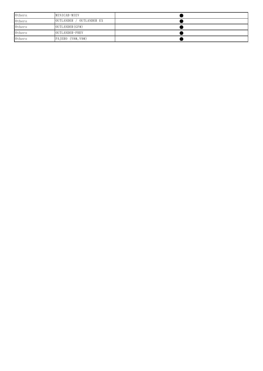| Others | MINICAB-MIEV             |  |
|--------|--------------------------|--|
| Others | OUTLANDER / OUTLANDER EX |  |
| Others | OUTLANDER (GF#)          |  |
| Others | OUTLANDER-PHEV           |  |
| Others | PAJERO (V8#, V9#)        |  |